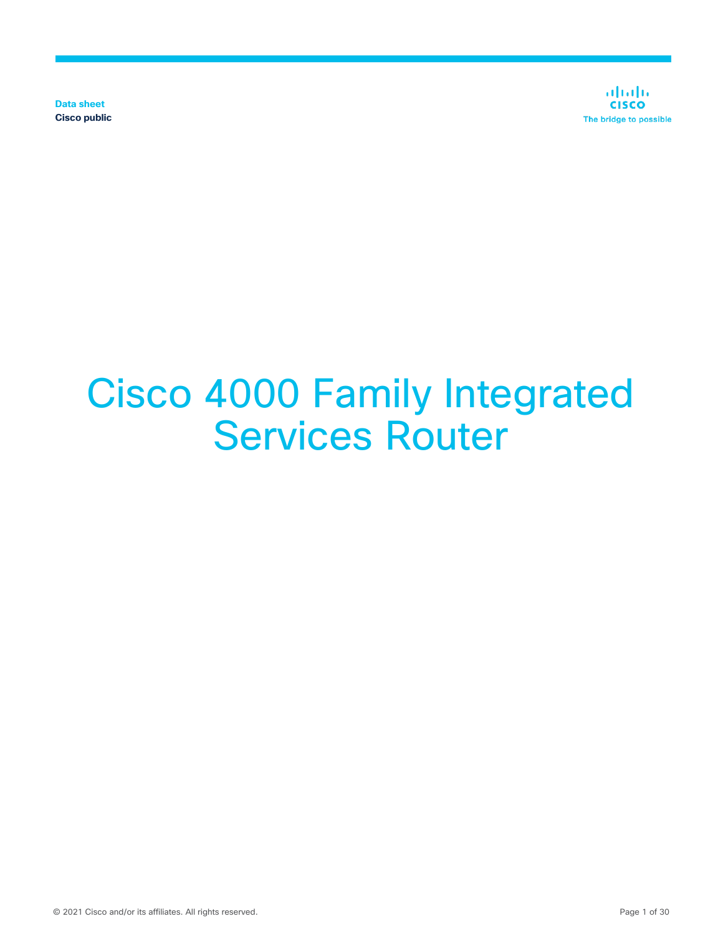**Data sheet Cisco public**

ahaha **CISCO** The bridge to possible

# Cisco 4000 Family Integrated Services Router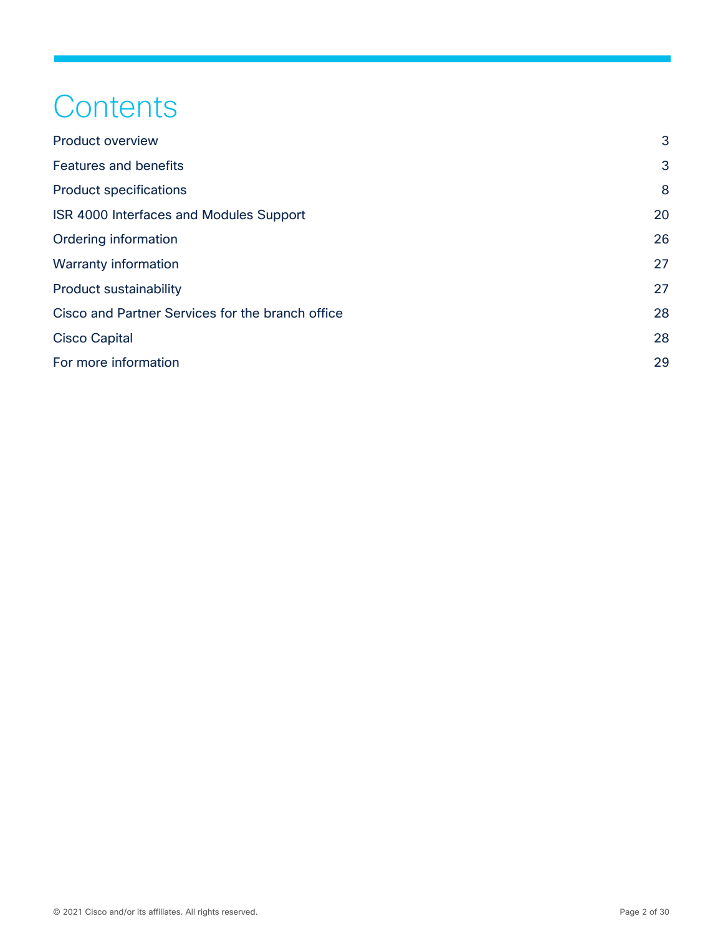## **Contents**

| <b>Product overview</b>                          | 3  |
|--------------------------------------------------|----|
| <b>Features and benefits</b>                     | 3  |
| <b>Product specifications</b>                    | 8  |
| ISR 4000 Interfaces and Modules Support          | 20 |
| Ordering information                             | 26 |
| Warranty information                             | 27 |
| <b>Product sustainability</b>                    | 27 |
| Cisco and Partner Services for the branch office | 28 |
| <b>Cisco Capital</b>                             | 28 |
| For more information                             | 29 |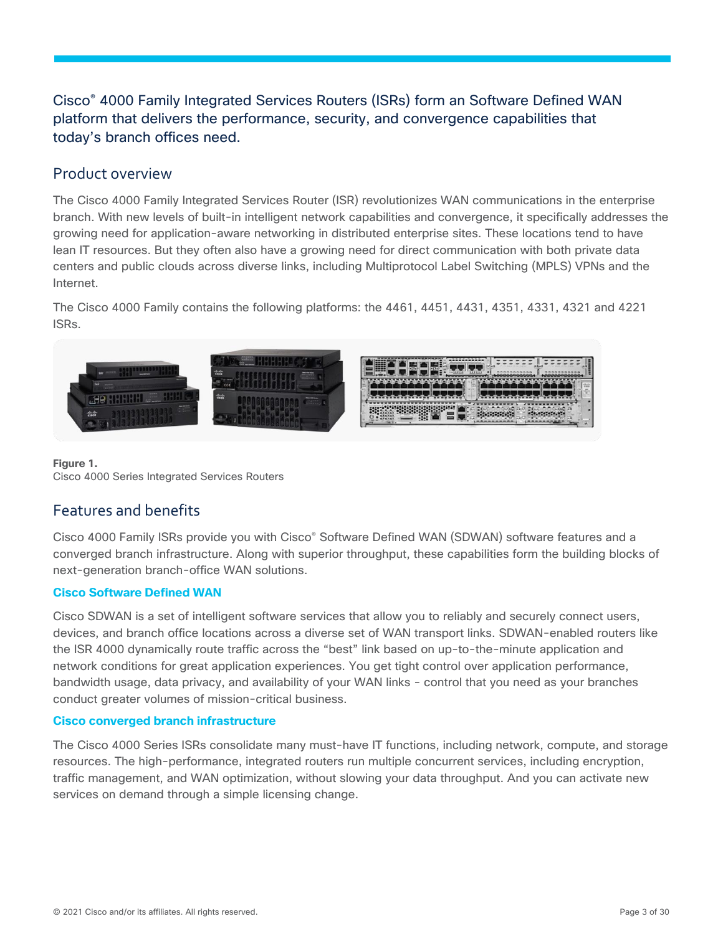## Cisco® 4000 Family Integrated Services Routers (ISRs) form an Software Defined WAN platform that delivers the performance, security, and convergence capabilities that today's branch offices need.

## <span id="page-2-0"></span>Product overview

The Cisco 4000 Family Integrated Services Router (ISR) revolutionizes WAN communications in the enterprise branch. With new levels of built-in intelligent network capabilities and convergence, it specifically addresses the growing need for application-aware networking in distributed enterprise sites. These locations tend to have lean IT resources. But they often also have a growing need for direct communication with both private data centers and public clouds across diverse links, including Multiprotocol Label Switching (MPLS) VPNs and the Internet.

The Cisco 4000 Family contains the following platforms: the 4461, 4451, 4431, 4351, 4331, 4321 and 4221 ISRs.



#### **Figure 1.**  Cisco 4000 Series Integrated Services Routers

## <span id="page-2-1"></span>Features and benefits

Cisco 4000 Family ISRs provide you with Cisco® Software Defined WAN (SDWAN) software features and a converged branch infrastructure. Along with superior throughput, these capabilities form the building blocks of next-generation branch-office WAN solutions.

#### **Cisco Software Defined WAN**

Cisco SDWAN is a set of intelligent software services that allow you to reliably and securely connect users, devices, and branch office locations across a diverse set of WAN transport links. SDWAN-enabled routers like the ISR 4000 dynamically route traffic across the "best" link based on up-to-the-minute application and network conditions for great application experiences. You get tight control over application performance, bandwidth usage, data privacy, and availability of your WAN links - control that you need as your branches conduct greater volumes of mission-critical business.

#### **Cisco converged branch infrastructure**

The Cisco 4000 Series ISRs consolidate many must-have IT functions, including network, compute, and storage resources. The high-performance, integrated routers run multiple concurrent services, including encryption, traffic management, and WAN optimization, without slowing your data throughput. And you can activate new services on demand through a simple licensing change.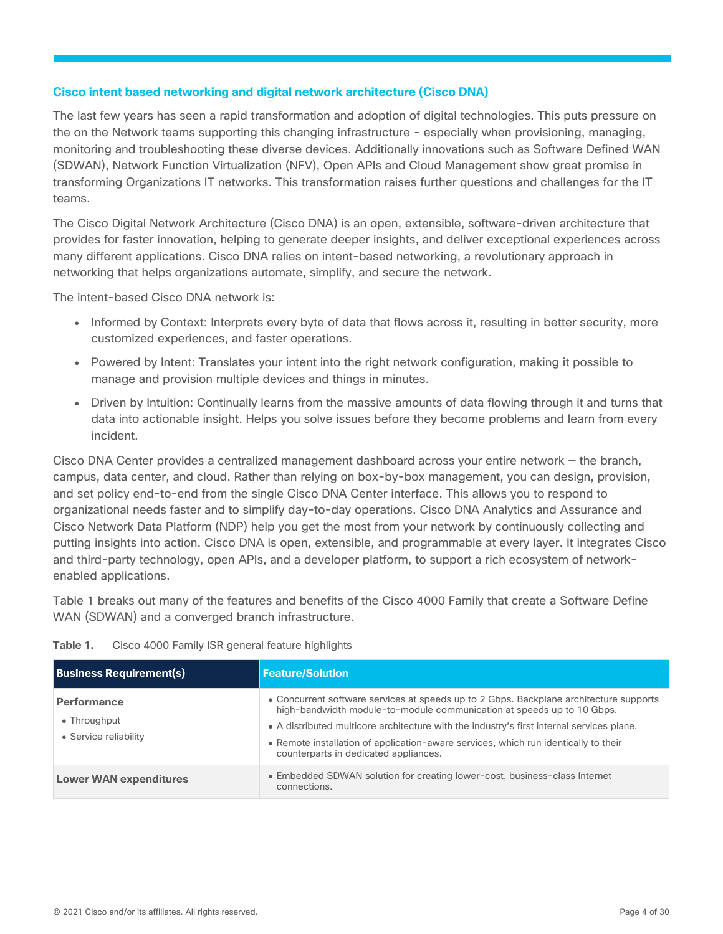#### **Cisco intent based networking and digital network architecture (Cisco DNA)**

The last few years has seen a rapid transformation and adoption of digital technologies. This puts pressure on the on the Network teams supporting this changing infrastructure - especially when provisioning, managing, monitoring and troubleshooting these diverse devices. Additionally innovations such as Software Defined WAN (SDWAN), Network Function Virtualization (NFV), Open APIs and Cloud Management show great promise in transforming Organizations IT networks. This transformation raises further questions and challenges for the IT teams.

The Cisco Digital Network Architecture (Cisco DNA) is an open, extensible, software-driven architecture that provides for faster innovation, helping to generate deeper insights, and deliver exceptional experiences across many different applications. Cisco DNA relies on intent-based networking, a revolutionary approach in networking that helps organizations automate, simplify, and secure the network.

The intent-based Cisco DNA network is:

- Informed by Context: Interprets every byte of data that flows across it, resulting in better security, more customized experiences, and faster operations.
- Powered by Intent: Translates your intent into the right network configuration, making it possible to manage and provision multiple devices and things in minutes.
- Driven by Intuition: Continually learns from the massive amounts of data flowing through it and turns that data into actionable insight. Helps you solve issues before they become problems and learn from every incident.

Cisco DNA Center provides a centralized management dashboard across your entire network — the branch, campus, data center, and cloud. Rather than relying on box-by-box management, you can design, provision, and set policy end-to-end from the single Cisco DNA Center interface. This allows you to respond to organizational needs faster and to simplify day-to-day operations. Cisco DNA Analytics and Assurance and Cisco Network Data Platform (NDP) help you get the most from your network by continuously collecting and putting insights into action. Cisco DNA is open, extensible, and programmable at every layer. It integrates Cisco and third-party technology, open APIs, and a developer platform, to support a rich ecosystem of networkenabled applications.

Table 1 breaks out many of the features and benefits of the Cisco 4000 Family that create a Software Define WAN (SDWAN) and a converged branch infrastructure.

| Table 1. | Cisco 4000 Family ISR general feature highlights |  |  |  |  |
|----------|--------------------------------------------------|--|--|--|--|
|----------|--------------------------------------------------|--|--|--|--|

| <b>Business Requirement(s)</b>                              | <b>Feature/Solution</b>                                                                                                                                                                                                                                                                                                                                                                       |
|-------------------------------------------------------------|-----------------------------------------------------------------------------------------------------------------------------------------------------------------------------------------------------------------------------------------------------------------------------------------------------------------------------------------------------------------------------------------------|
| <b>Performance</b><br>• Throughput<br>• Service reliability | • Concurrent software services at speeds up to 2 Gbps. Backplane architecture supports<br>high-bandwidth module-to-module communication at speeds up to 10 Gbps.<br>• A distributed multicore architecture with the industry's first internal services plane.<br>• Remote installation of application-aware services, which run identically to their<br>counterparts in dedicated appliances. |
| <b>Lower WAN expenditures</b>                               | • Embedded SDWAN solution for creating lower-cost, business-class Internet<br>connections.                                                                                                                                                                                                                                                                                                    |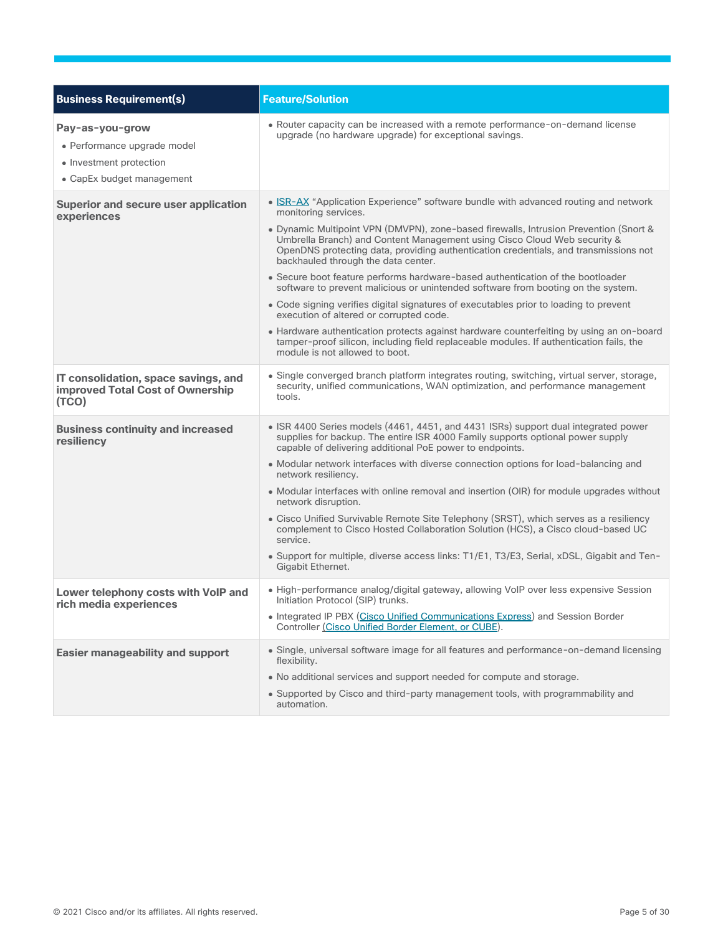| <b>Business Requirement(s)</b>                                                                         | <b>Feature/Solution</b>                                                                                                                                                                                                                                                                                                                                                                                                                                                                                                                                                                                                                                                                                                                                                                                                                                                                                                                           |
|--------------------------------------------------------------------------------------------------------|---------------------------------------------------------------------------------------------------------------------------------------------------------------------------------------------------------------------------------------------------------------------------------------------------------------------------------------------------------------------------------------------------------------------------------------------------------------------------------------------------------------------------------------------------------------------------------------------------------------------------------------------------------------------------------------------------------------------------------------------------------------------------------------------------------------------------------------------------------------------------------------------------------------------------------------------------|
| Pay-as-you-grow<br>• Performance upgrade model<br>• Investment protection<br>• CapEx budget management | • Router capacity can be increased with a remote performance-on-demand license<br>upgrade (no hardware upgrade) for exceptional savings.                                                                                                                                                                                                                                                                                                                                                                                                                                                                                                                                                                                                                                                                                                                                                                                                          |
| Superior and secure user application<br>experiences                                                    | • ISR-AX "Application Experience" software bundle with advanced routing and network<br>monitoring services.<br>. Dynamic Multipoint VPN (DMVPN), zone-based firewalls, Intrusion Prevention (Snort &<br>Umbrella Branch) and Content Management using Cisco Cloud Web security &<br>OpenDNS protecting data, providing authentication credentials, and transmissions not<br>backhauled through the data center.<br>• Secure boot feature performs hardware-based authentication of the bootloader<br>software to prevent malicious or unintended software from booting on the system.<br>• Code signing verifies digital signatures of executables prior to loading to prevent<br>execution of altered or corrupted code.<br>• Hardware authentication protects against hardware counterfeiting by using an on-board<br>tamper-proof silicon, including field replaceable modules. If authentication fails, the<br>module is not allowed to boot. |
| IT consolidation, space savings, and<br><b>improved Total Cost of Ownership</b><br>(TCO)               | • Single converged branch platform integrates routing, switching, virtual server, storage,<br>security, unified communications, WAN optimization, and performance management<br>tools.                                                                                                                                                                                                                                                                                                                                                                                                                                                                                                                                                                                                                                                                                                                                                            |
| <b>Business continuity and increased</b><br>resiliency                                                 | • ISR 4400 Series models (4461, 4451, and 4431 ISRs) support dual integrated power<br>supplies for backup. The entire ISR 4000 Family supports optional power supply<br>capable of delivering additional PoE power to endpoints.<br>• Modular network interfaces with diverse connection options for load-balancing and<br>network resiliency.<br>• Modular interfaces with online removal and insertion (OIR) for module upgrades without<br>network disruption.<br>• Cisco Unified Survivable Remote Site Telephony (SRST), which serves as a resiliency<br>complement to Cisco Hosted Collaboration Solution (HCS), a Cisco cloud-based UC<br>service.<br>• Support for multiple, diverse access links: T1/E1, T3/E3, Serial, xDSL, Gigabit and Ten-<br>Gigabit Ethernet.                                                                                                                                                                      |
| Lower telephony costs with VoIP and<br>rich media experiences                                          | • High-performance analog/digital gateway, allowing VoIP over less expensive Session<br>Initiation Protocol (SIP) trunks.<br>• Integrated IP PBX (Cisco Unified Communications Express) and Session Border<br>Controller (Cisco Unified Border Element, or CUBE).                                                                                                                                                                                                                                                                                                                                                                                                                                                                                                                                                                                                                                                                                 |
| <b>Easier manageability and support</b>                                                                | • Single, universal software image for all features and performance-on-demand licensing<br>flexibility.<br>• No additional services and support needed for compute and storage.<br>• Supported by Cisco and third-party management tools, with programmability and<br>automation.                                                                                                                                                                                                                                                                                                                                                                                                                                                                                                                                                                                                                                                                 |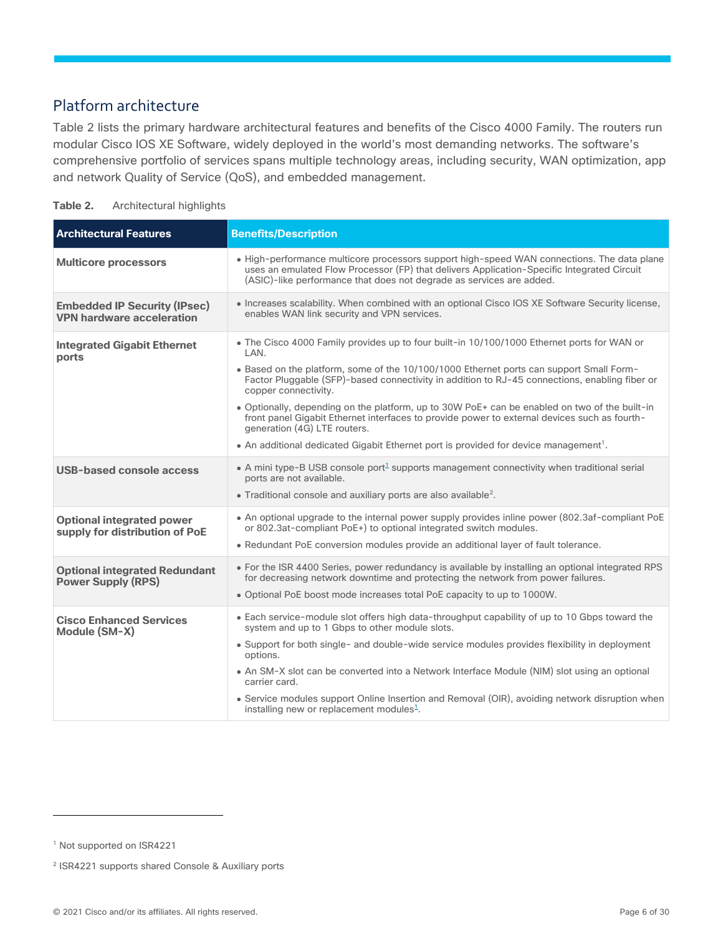## Platform architecture

Table 2 lists the primary hardware architectural features and benefits of the Cisco 4000 Family. The routers run modular Cisco IOS XE Software, widely deployed in the world's most demanding networks. The software's comprehensive portfolio of services spans multiple technology areas, including security, WAN optimization, app and network Quality of Service (QoS), and embedded management.

| Table 2. | Architectural highlights |  |
|----------|--------------------------|--|
|----------|--------------------------|--|

| <b>Architectural Features</b>                                           | <b>Benefits/Description</b>                                                                                                                                                                                                                                                                                                                                                                                                                                                                                                                                                                                                                                 |
|-------------------------------------------------------------------------|-------------------------------------------------------------------------------------------------------------------------------------------------------------------------------------------------------------------------------------------------------------------------------------------------------------------------------------------------------------------------------------------------------------------------------------------------------------------------------------------------------------------------------------------------------------------------------------------------------------------------------------------------------------|
| <b>Multicore processors</b>                                             | • High-performance multicore processors support high-speed WAN connections. The data plane<br>uses an emulated Flow Processor (FP) that delivers Application-Specific Integrated Circuit<br>(ASIC)-like performance that does not degrade as services are added.                                                                                                                                                                                                                                                                                                                                                                                            |
| <b>Embedded IP Security (IPsec)</b><br><b>VPN hardware acceleration</b> | • Increases scalability. When combined with an optional Cisco IOS XE Software Security license,<br>enables WAN link security and VPN services.                                                                                                                                                                                                                                                                                                                                                                                                                                                                                                              |
| <b>Integrated Gigabit Ethernet</b><br>ports                             | • The Cisco 4000 Family provides up to four built-in 10/100/1000 Ethernet ports for WAN or<br>LAN.<br>• Based on the platform, some of the 10/100/1000 Ethernet ports can support Small Form-<br>Factor Pluggable (SFP)-based connectivity in addition to RJ-45 connections, enabling fiber or<br>copper connectivity.<br>• Optionally, depending on the platform, up to 30W PoE+ can be enabled on two of the built-in<br>front panel Gigabit Ethernet interfaces to provide power to external devices such as fourth-<br>generation (4G) LTE routers.<br>• An additional dedicated Gigabit Ethernet port is provided for device management <sup>1</sup> . |
| <b>USB-based console access</b>                                         | • A mini type-B USB console port <sup>1</sup> supports management connectivity when traditional serial<br>ports are not available.<br>• Traditional console and auxiliary ports are also available <sup>2</sup> .                                                                                                                                                                                                                                                                                                                                                                                                                                           |
| <b>Optional integrated power</b><br>supply for distribution of PoE      | • An optional upgrade to the internal power supply provides inline power (802.3af-compliant PoE)<br>or 802.3at-compliant PoE+) to optional integrated switch modules.<br>• Redundant PoE conversion modules provide an additional layer of fault tolerance.                                                                                                                                                                                                                                                                                                                                                                                                 |
| <b>Optional integrated Redundant</b><br><b>Power Supply (RPS)</b>       | • For the ISR 4400 Series, power redundancy is available by installing an optional integrated RPS<br>for decreasing network downtime and protecting the network from power failures.<br>. Optional PoE boost mode increases total PoE capacity to up to 1000W.                                                                                                                                                                                                                                                                                                                                                                                              |
| <b>Cisco Enhanced Services</b><br>Module (SM-X)                         | • Each service-module slot offers high data-throughput capability of up to 10 Gbps toward the<br>system and up to 1 Gbps to other module slots.<br>• Support for both single- and double-wide service modules provides flexibility in deployment<br>options.<br>• An SM-X slot can be converted into a Network Interface Module (NIM) slot using an optional<br>carrier card.<br>• Service modules support Online Insertion and Removal (OIR), avoiding network disruption when<br>installing new or replacement modules <sup>1</sup> .                                                                                                                     |

<span id="page-5-0"></span><sup>1</sup> Not supported on ISR4221

<sup>&</sup>lt;sup>2</sup> ISR4221 supports shared Console & Auxiliary ports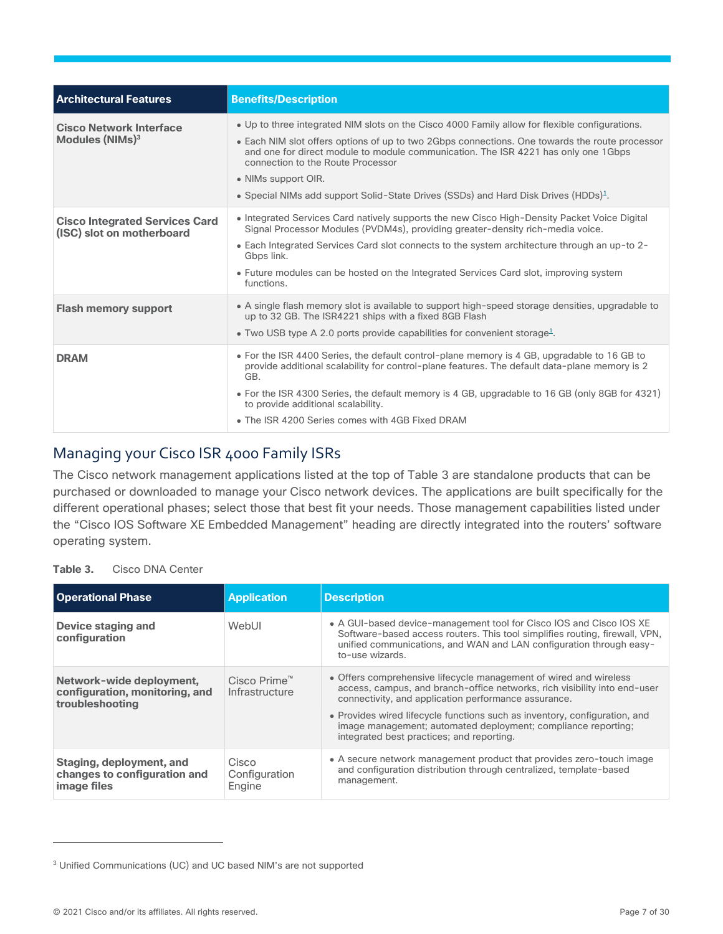| <b>Architectural Features</b>                                      | <b>Benefits/Description</b>                                                                                                                                                                                                                                                                                                                                                                                                                           |
|--------------------------------------------------------------------|-------------------------------------------------------------------------------------------------------------------------------------------------------------------------------------------------------------------------------------------------------------------------------------------------------------------------------------------------------------------------------------------------------------------------------------------------------|
| <b>Cisco Network Interface</b><br>Modules (NIMs) <sup>3</sup>      | • Up to three integrated NIM slots on the Cisco 4000 Family allow for flexible configurations.<br>• Each NIM slot offers options of up to two 2Gbps connections. One towards the route processor<br>and one for direct module to module communication. The ISR 4221 has only one 1Gbps<br>connection to the Route Processor<br>• NIMs support OIR.<br>• Special NIMs add support Solid-State Drives (SSDs) and Hard Disk Drives (HDDs) <sup>1</sup> . |
| <b>Cisco Integrated Services Card</b><br>(ISC) slot on motherboard | • Integrated Services Card natively supports the new Cisco High-Density Packet Voice Digital<br>Signal Processor Modules (PVDM4s), providing greater-density rich-media voice.<br>• Each Integrated Services Card slot connects to the system architecture through an up-to 2-<br>Gbps link.<br>• Future modules can be hosted on the Integrated Services Card slot, improving system<br>functions.                                                   |
| <b>Flash memory support</b>                                        | • A single flash memory slot is available to support high-speed storage densities, upgradable to<br>up to 32 GB. The ISR4221 ships with a fixed 8GB Flash<br>• Two USB type A 2.0 ports provide capabilities for convenient storage <sup>1</sup> .                                                                                                                                                                                                    |
| <b>DRAM</b>                                                        | • For the ISR 4400 Series, the default control-plane memory is 4 GB, upgradable to 16 GB to<br>provide additional scalability for control-plane features. The default data-plane memory is 2<br>GB.<br>• For the ISR 4300 Series, the default memory is 4 GB, upgradable to 16 GB (only 8GB for 4321)<br>to provide additional scalability.<br>• The ISR 4200 Series comes with 4GB Fixed DRAM                                                        |

## Managing your Cisco ISR 4000 Family ISRs

The Cisco network management applications listed at the top of Table 3 are standalone products that can be purchased or downloaded to manage your Cisco network devices. The applications are built specifically for the different operational phases; select those that best fit your needs. Those management capabilities listed under the "Cisco IOS Software XE Embedded Management" heading are directly integrated into the routers' software operating system.

**Table 3.** Cisco DNA Center

| <b>Operational Phase</b>                                                      | <b>Application</b>               | <b>Description</b>                                                                                                                                                                                                                                                                                                                                                                                 |
|-------------------------------------------------------------------------------|----------------------------------|----------------------------------------------------------------------------------------------------------------------------------------------------------------------------------------------------------------------------------------------------------------------------------------------------------------------------------------------------------------------------------------------------|
| Device staging and<br>configuration                                           | WebUI                            | • A GUI-based device-management tool for Cisco IOS and Cisco IOS XE<br>Software-based access routers. This tool simplifies routing, firewall, VPN,<br>unified communications, and WAN and LAN configuration through easy-<br>to-use wizards.                                                                                                                                                       |
| Network-wide deployment,<br>configuration, monitoring, and<br>troubleshooting | Cisco Prime™<br>Infrastructure   | • Offers comprehensive lifecycle management of wired and wireless<br>access, campus, and branch-office networks, rich visibility into end-user<br>connectivity, and application performance assurance.<br>• Provides wired lifecycle functions such as inventory, configuration, and<br>image management; automated deployment; compliance reporting;<br>integrated best practices; and reporting. |
| Staging, deployment, and<br>changes to configuration and<br>image files       | Cisco<br>Configuration<br>Engine | • A secure network management product that provides zero-touch image<br>and configuration distribution through centralized, template-based<br>management.                                                                                                                                                                                                                                          |

© 2021 Cisco and/or its affiliates. All rights reserved. Page 7 of 30

<sup>3</sup> Unified Communications (UC) and UC based NIM's are not supported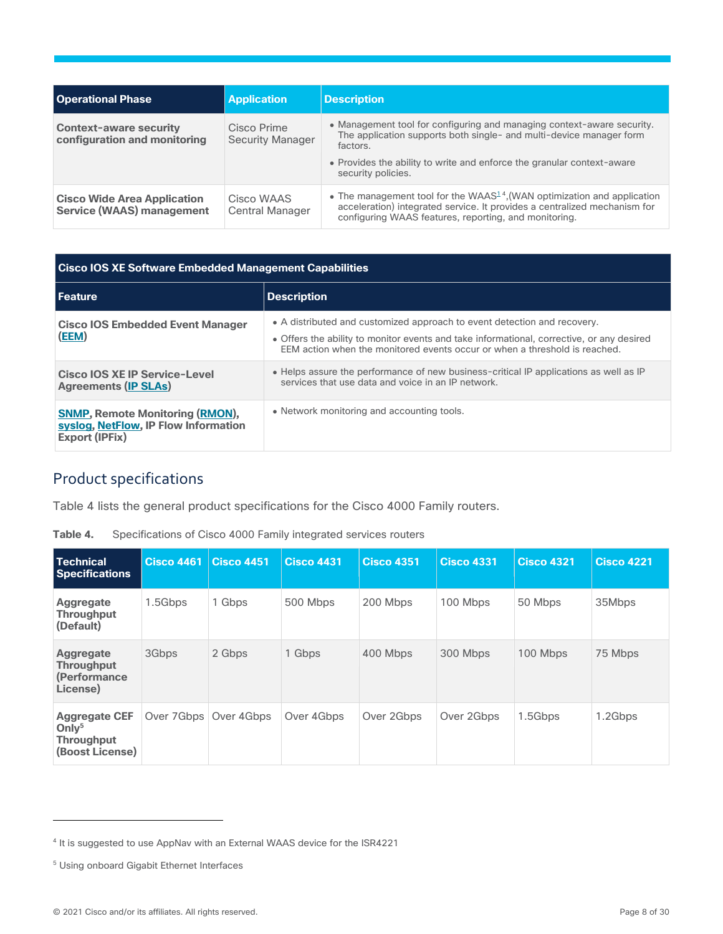| <b>Operational Phase</b>                                               | <b>Application</b>                     | <b>Description</b>                                                                                                                                                                                                                                        |
|------------------------------------------------------------------------|----------------------------------------|-----------------------------------------------------------------------------------------------------------------------------------------------------------------------------------------------------------------------------------------------------------|
| <b>Context-aware security</b><br>configuration and monitoring          | Cisco Prime<br><b>Security Manager</b> | • Management tool for configuring and managing context-aware security.<br>The application supports both single- and multi-device manager form<br>factors.<br>• Provides the ability to write and enforce the granular context-aware<br>security policies. |
| <b>Cisco Wide Area Application</b><br><b>Service (WAAS) management</b> | Cisco WAAS<br><b>Central Manager</b>   | • The management tool for the WAAS <sup>14</sup> , (WAN optimization and application<br>acceleration) integrated service. It provides a centralized mechanism for<br>configuring WAAS features, reporting, and monitoring.                                |

| <b>Cisco IOS XE Software Embedded Management Capabilities</b>                                           |                                                                                                                                                                                                                                                     |  |  |  |  |
|---------------------------------------------------------------------------------------------------------|-----------------------------------------------------------------------------------------------------------------------------------------------------------------------------------------------------------------------------------------------------|--|--|--|--|
| l Feature                                                                                               | <b>Description</b>                                                                                                                                                                                                                                  |  |  |  |  |
| <b>Cisco IOS Embedded Event Manager</b><br>(EEM)                                                        | • A distributed and customized approach to event detection and recovery.<br>• Offers the ability to monitor events and take informational, corrective, or any desired<br>FFM action when the monitored events occur or when a threshold is reached. |  |  |  |  |
| <b>Cisco IOS XE IP Service-Level</b><br><b>Agreements (IP SLAs)</b>                                     | • Helps assure the performance of new business-critical IP applications as well as IP<br>services that use data and voice in an IP network.                                                                                                         |  |  |  |  |
| <b>SNMP, Remote Monitoring (RMON),</b><br>syslog, NetFlow, IP Flow Information<br><b>Export (IPFix)</b> | • Network monitoring and accounting tools.                                                                                                                                                                                                          |  |  |  |  |

## <span id="page-7-0"></span>Product specifications

Table 4 lists the general product specifications for the Cisco 4000 Family routers.

| <b>Technical</b><br><b>Specifications</b>                                                | <b>Cisco 4461</b> | <b>Cisco 4451</b> | <b>Cisco 4431</b> | <b>Cisco 4351</b> | <b>Cisco 4331</b> | <b>Cisco 4321</b> | Cisco 4221 |
|------------------------------------------------------------------------------------------|-------------------|-------------------|-------------------|-------------------|-------------------|-------------------|------------|
| Aggregate<br><b>Throughput</b><br>(Default)                                              | 1.5Gbps           | 1 Gbps            | 500 Mbps          | 200 Mbps          | 100 Mbps          | 50 Mbps           | 35Mbps     |
| <b>Aggregate</b><br><b>Throughput</b><br>(Performance)<br>License)                       | 3Gbps             | 2 Gbps            | 1 Gbps            | 400 Mbps          | 300 Mbps          | 100 Mbps          | 75 Mbps    |
| <b>Aggregate CEF</b><br>Onlv <sup>5</sup><br><b>Throughput</b><br><b>(Boost License)</b> | Over 7Gbps        | Over 4Gbps        | Over 4Gbps        | Over 2Gbps        | Over 2Gbps        | 1.5Gbps           | 1.2Gbps    |

**Table 4.** Specifications of Cisco 4000 Family integrated services routers

<sup>&</sup>lt;sup>4</sup> It is suggested to use AppNav with an External WAAS device for the ISR4221

<sup>5</sup> Using onboard Gigabit Ethernet Interfaces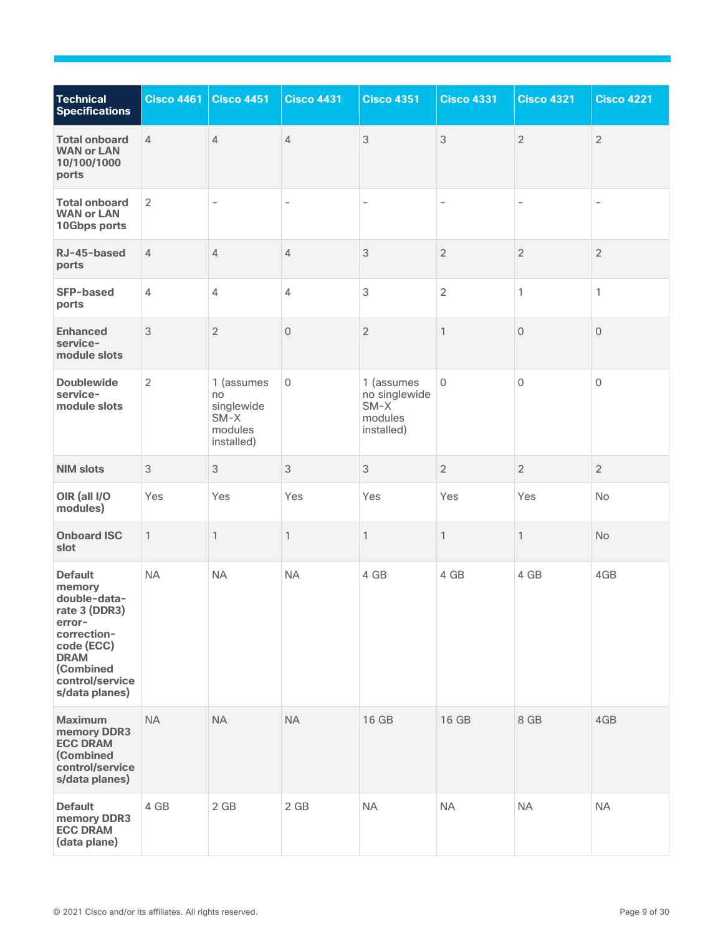| <b>Technical</b><br><b>Specifications</b>                                                                                                                         | <b>Cisco 4461</b> | <b>Cisco 4451</b>                                                 | <b>Cisco 4431</b> | <b>Cisco 4351</b>                                              | <b>Cisco 4331</b>        | <b>Cisco 4321</b>        | <b>Cisco 4221</b>   |
|-------------------------------------------------------------------------------------------------------------------------------------------------------------------|-------------------|-------------------------------------------------------------------|-------------------|----------------------------------------------------------------|--------------------------|--------------------------|---------------------|
| <b>Total onboard</b><br><b>WAN or LAN</b><br>10/100/1000<br>ports                                                                                                 | $\overline{4}$    | $\overline{4}$                                                    | 4                 | 3                                                              | $\mathfrak{S}$           | $\overline{2}$           | $\overline{2}$      |
| <b>Total onboard</b><br><b>WAN or LAN</b><br>10Gbps ports                                                                                                         | $\overline{2}$    | $\qquad \qquad -$                                                 | $\qquad \qquad -$ | $\qquad \qquad -$                                              | $\overline{\phantom{a}}$ | $\overline{\phantom{a}}$ | $\qquad \qquad -$   |
| RJ-45-based<br>ports                                                                                                                                              | $\overline{4}$    | $\overline{4}$                                                    | 4                 | 3                                                              | $\overline{2}$           | $\sqrt{2}$               | $\overline{2}$      |
| <b>SFP-based</b><br>ports                                                                                                                                         | $\overline{4}$    | $\overline{4}$                                                    | 4                 | $\mathfrak{Z}$                                                 | $\overline{2}$           | $\mathbf{1}$             | 1                   |
| <b>Enhanced</b><br>service-<br>module slots                                                                                                                       | 3                 | $\overline{2}$                                                    | $\overline{0}$    | $\overline{2}$                                                 | $\mathbf{1}$             | $\overline{0}$           | $\mathbf 0$         |
| <b>Doublewide</b><br>service-<br>module slots                                                                                                                     | $\overline{2}$    | 1 (assumes<br>no<br>singlewide<br>$SM-X$<br>modules<br>installed) | $\mathbf 0$       | 1 (assumes<br>no singlewide<br>$SM-X$<br>modules<br>installed) | $\mathbf 0$              | $\mathbf 0$              | $\mathsf{O}\xspace$ |
| <b>NIM slots</b>                                                                                                                                                  | 3                 | 3                                                                 | 3                 | 3                                                              | $\overline{2}$           | $\overline{2}$           | $\overline{2}$      |
| OIR (all I/O<br>modules)                                                                                                                                          | Yes               | Yes                                                               | Yes               | Yes                                                            | Yes                      | Yes                      | No                  |
| <b>Onboard ISC</b><br>slot                                                                                                                                        | $\mathbf{1}$      | $\mathbf{1}$                                                      | $\mathbf{1}$      | 1                                                              | $\mathbf{1}$             | $\mathbf{1}$             | No                  |
| <b>Default</b><br>memory<br>double-data-<br>rate 3 (DDR3)<br>error-<br>correction-<br>code (ECC)<br><b>DRAM</b><br>(Combined<br>control/service<br>s/data planes) | <b>NA</b>         | <b>NA</b>                                                         | <b>NA</b>         | 4 GB                                                           | 4 GB                     | 4 GB                     | 4GB                 |
| <b>Maximum</b><br>memory DDR3<br><b>ECC DRAM</b><br>(Combined<br>control/service<br>s/data planes)                                                                | <b>NA</b>         | <b>NA</b>                                                         | <b>NA</b>         | 16 GB                                                          | 16 GB                    | 8 GB                     | 4GB                 |
| <b>Default</b><br>memory DDR3<br><b>ECC DRAM</b><br>(data plane)                                                                                                  | 4 GB              | 2 GB                                                              | 2 GB              | NA                                                             | <b>NA</b>                | <b>NA</b>                | <b>NA</b>           |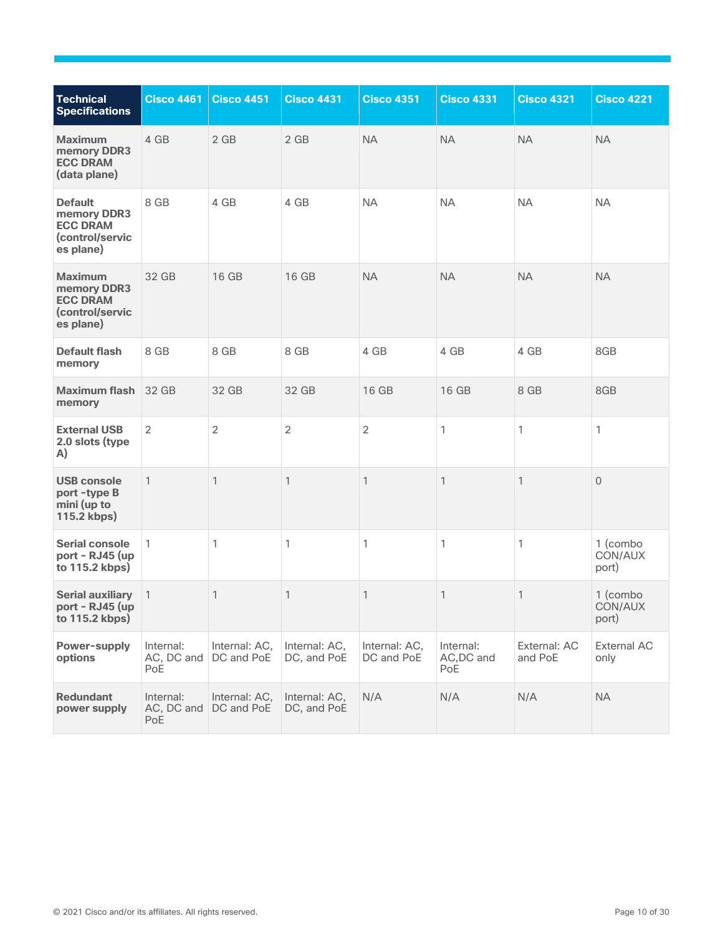<span id="page-9-0"></span>

| <b>Technical</b><br><b>Specifications</b>                                        | <b>Cisco 4461</b>              | <b>Cisco 4451</b>           | <b>Cisco 4431</b>            | <b>Cisco 4351</b>           | <b>Cisco 4331</b>              | <b>Cisco 4321</b>       | <b>Cisco 4221</b>            |
|----------------------------------------------------------------------------------|--------------------------------|-----------------------------|------------------------------|-----------------------------|--------------------------------|-------------------------|------------------------------|
| <b>Maximum</b><br>memory DDR3<br><b>ECC DRAM</b><br>(data plane)                 | 4 GB                           | 2 GB                        | 2 GB                         | <b>NA</b>                   | <b>NA</b>                      | <b>NA</b>               | <b>NA</b>                    |
| <b>Default</b><br>memory DDR3<br><b>ECC DRAM</b><br>(control/servic<br>es plane) | 8 GB                           | 4 GB                        | 4 GB                         | <b>NA</b>                   | <b>NA</b>                      | <b>NA</b>               | <b>NA</b>                    |
| <b>Maximum</b><br>memory DDR3<br><b>ECC DRAM</b><br>(control/servic<br>es plane) | 32 GB                          | 16 GB                       | 16 GB                        | <b>NA</b>                   | <b>NA</b>                      | <b>NA</b>               | <b>NA</b>                    |
| <b>Default flash</b><br>memory                                                   | 8 GB                           | 8 GB                        | 8 GB                         | 4 GB                        | 4 GB                           | 4 GB                    | 8GB                          |
| <b>Maximum flash</b><br>memory                                                   | 32 GB                          | 32 GB                       | 32 GB                        | 16 GB                       | 16 GB                          | 8 GB                    | 8GB                          |
| <b>External USB</b><br>2.0 slots (type<br>A)                                     | $\overline{2}$                 | $\overline{2}$              | $\overline{c}$               | $\overline{2}$              | 1                              | 1                       | 1                            |
| <b>USB console</b><br>port-type B<br>mini (up to<br>115.2 kbps)                  | $\mathbf{1}$                   | 1                           | 1                            | 1                           | 1                              | 1                       | $\mathbf{0}$                 |
| <b>Serial console</b><br>port - RJ45 (up<br>to 115.2 kbps)                       | $\mathbf{1}$                   | 1                           | 1                            | 1                           | 1                              | 1                       | 1 (combo<br>CON/AUX<br>port) |
| <b>Serial auxiliary</b><br>port - RJ45 (up<br>to 115.2 kbps)                     | $\mathbf{1}$                   | 1                           | 1                            | 1                           | 1                              | 1                       | 1 (combo<br>CON/AUX<br>port) |
| Power-supply<br>options                                                          | Internal:<br>AC, DC and<br>PoE | Internal: AC,<br>DC and PoE | Internal: AC,<br>DC, and PoE | Internal: AC,<br>DC and PoE | Internal:<br>AC, DC and<br>PoE | External: AC<br>and PoE | <b>External AC</b><br>only   |
| <b>Redundant</b><br>power supply                                                 | Internal:<br>AC, DC and<br>PoE | Internal: AC,<br>DC and PoE | Internal: AC,<br>DC, and PoE | N/A                         | N/A                            | N/A                     | <b>NA</b>                    |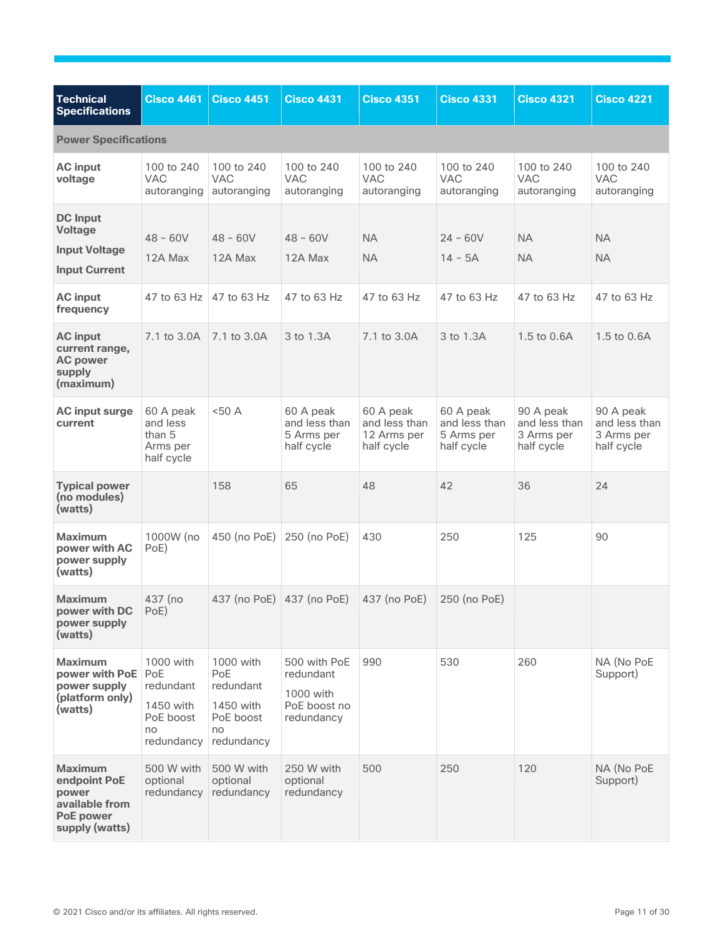<span id="page-10-0"></span>

| <b>Technical</b><br><b>Specifications</b>                                                       | <b>Cisco 4461</b>                                                           | <b>Cisco 4451</b>                                                           | <b>Cisco 4431</b>                                                    | <b>Cisco 4351</b>                                       | <b>Cisco 4331</b>                                      | <b>Cisco 4321</b>                                      | <b>Cisco 4221</b>                                      |
|-------------------------------------------------------------------------------------------------|-----------------------------------------------------------------------------|-----------------------------------------------------------------------------|----------------------------------------------------------------------|---------------------------------------------------------|--------------------------------------------------------|--------------------------------------------------------|--------------------------------------------------------|
| <b>Power Specifications</b>                                                                     |                                                                             |                                                                             |                                                                      |                                                         |                                                        |                                                        |                                                        |
| <b>AC</b> input<br>voltage                                                                      | 100 to 240<br><b>VAC</b><br>autoranging                                     | 100 to 240<br><b>VAC</b><br>autoranging                                     | 100 to 240<br><b>VAC</b><br>autoranging                              | 100 to 240<br><b>VAC</b><br>autoranging                 | 100 to 240<br><b>VAC</b><br>autoranging                | 100 to 240<br><b>VAC</b><br>autoranging                | 100 to 240<br><b>VAC</b><br>autoranging                |
| <b>DC</b> Input<br><b>Voltage</b><br><b>Input Voltage</b><br><b>Input Current</b>               | $48 - 60V$<br>12A Max                                                       | $48 - 60V$<br>12A Max                                                       | $48 - 60V$<br>12A Max                                                | <b>NA</b><br><b>NA</b>                                  | $24 - 60V$<br>$14 - 5A$                                | <b>NA</b><br><b>NA</b>                                 | <b>NA</b><br><b>NA</b>                                 |
| <b>AC</b> input<br>frequency                                                                    | 47 to 63 Hz                                                                 | 47 to 63 Hz                                                                 | 47 to 63 Hz                                                          | 47 to 63 Hz                                             | 47 to 63 Hz                                            | 47 to 63 Hz                                            | 47 to 63 Hz                                            |
| <b>AC</b> input<br>current range,<br><b>AC power</b><br>supply<br>(maximum)                     | 7.1 to 3.0A                                                                 | 7.1 to 3.0A                                                                 | 3 to 1.3A                                                            | 7.1 to 3.0A                                             | 3 to 1.3A                                              | 1.5 to 0.6A                                            | 1.5 to 0.6A                                            |
| <b>AC input surge</b><br>current                                                                | 60 A peak<br>and less<br>than 5<br>Arms per<br>half cycle                   | <50A                                                                        | 60 A peak<br>and less than<br>5 Arms per<br>half cycle               | 60 A peak<br>and less than<br>12 Arms per<br>half cycle | 60 A peak<br>and less than<br>5 Arms per<br>half cycle | 90 A peak<br>and less than<br>3 Arms per<br>half cycle | 90 A peak<br>and less than<br>3 Arms per<br>half cycle |
| <b>Typical power</b><br>(no modules)<br>(watts)                                                 |                                                                             | 158                                                                         | 65                                                                   | 48                                                      | 42                                                     | 36                                                     | 24                                                     |
| <b>Maximum</b><br>power with AC<br>power supply<br>(watts)                                      | 1000W (no<br>PoE)                                                           | 450 (no PoE)                                                                | 250 (no PoE)                                                         | 430                                                     | 250                                                    | 125                                                    | 90                                                     |
| <b>Maximum</b><br>power with DC<br>power supply<br>(watts)                                      | 437 (no<br>PoE)                                                             | 437 (no PoE) 437 (no PoE)                                                   |                                                                      | 437 (no PoE)                                            | 250 (no PoE)                                           |                                                        |                                                        |
| <b>Maximum</b><br>power with PoE<br>power supply<br>(platform only)<br>(watts)                  | 1000 with<br>PoE<br>redundant<br>1450 with<br>PoE boost<br>no<br>redundancy | 1000 with<br>PoE<br>redundant<br>1450 with<br>PoE boost<br>no<br>redundancy | 500 with PoE<br>redundant<br>1000 with<br>PoE boost no<br>redundancy | 990                                                     | 530                                                    | 260                                                    | NA (No PoE<br>Support)                                 |
| <b>Maximum</b><br>endpoint PoE<br>power<br>available from<br><b>PoE power</b><br>supply (watts) | 500 W with<br>optional<br>redundancy                                        | 500 W with<br>optional<br>redundancy                                        | 250 W with<br>optional<br>redundancy                                 | 500                                                     | 250                                                    | 120                                                    | NA (No PoE<br>Support)                                 |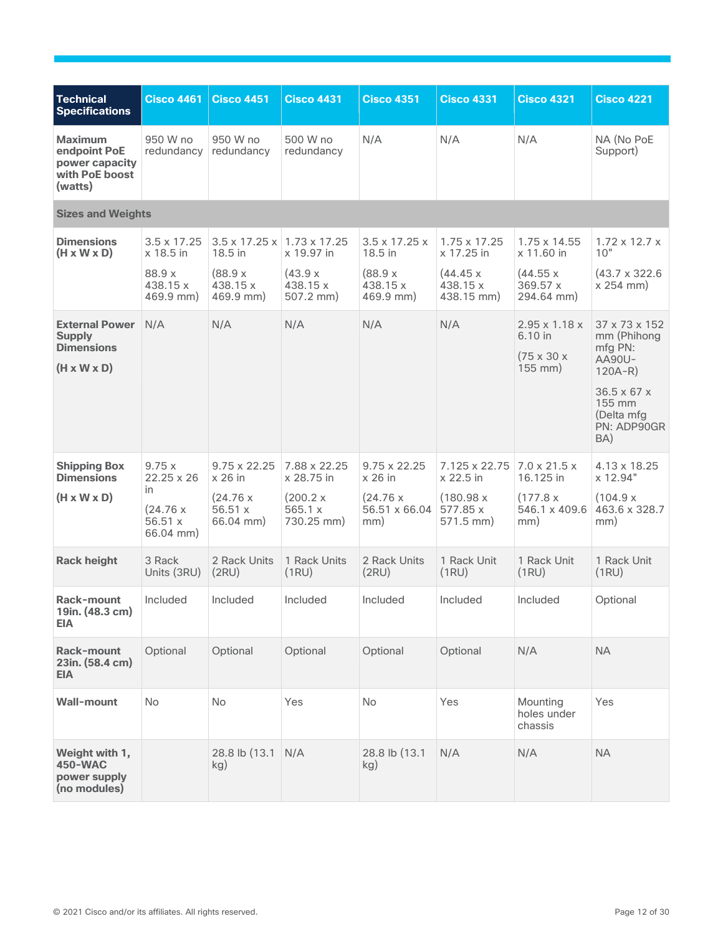<span id="page-11-0"></span>

| <b>Technical</b><br><b>Specifications</b>                                              | <b>Cisco 4461</b>                                                     | <b>Cisco 4451</b>                                                   | <b>Cisco 4431</b>                                                | <b>Cisco 4351</b>                                                     | <b>Cisco 4331</b>                                                  | <b>Cisco 4321</b>                                                                    | <b>Cisco 4221</b>                                                                        |
|----------------------------------------------------------------------------------------|-----------------------------------------------------------------------|---------------------------------------------------------------------|------------------------------------------------------------------|-----------------------------------------------------------------------|--------------------------------------------------------------------|--------------------------------------------------------------------------------------|------------------------------------------------------------------------------------------|
| <b>Maximum</b><br>endpoint PoE<br>power capacity<br>with PoE boost<br>(watts)          | 950 W no<br>redundancy                                                | 950 W no<br>redundancy                                              | 500 W no<br>redundancy                                           | N/A                                                                   | N/A                                                                | N/A                                                                                  | NA (No PoE<br>Support)                                                                   |
| <b>Sizes and Weights</b>                                                               |                                                                       |                                                                     |                                                                  |                                                                       |                                                                    |                                                                                      |                                                                                          |
| <b>Dimensions</b><br>$(H \times W \times D)$                                           | 3.5 x 17.25<br>x 18.5 in                                              | $3.5 \times 17.25 \times$<br>18.5 in                                | $1.73 \times 17.25$<br>x 19.97 in                                | $3.5 \times 17.25 \times$<br>18.5 in                                  | 1.75 x 17.25<br>x 17.25 in                                         | 1.75 x 14.55<br>x 11.60 in                                                           | $1.72 \times 12.7 \times$<br>10"                                                         |
|                                                                                        | 88.9 x<br>438.15 x<br>$469.9$ mm)                                     | (88.9 x)<br>438.15 x<br>469.9 mm)                                   | (43.9 x)<br>438.15 x<br>$507.2$ mm)                              | (88.9 x)<br>438.15 x<br>469.9 mm)                                     | (44.45 x)<br>438.15 x<br>438.15 mm)                                | (44.55 x)<br>369.57x<br>294.64 mm)                                                   | $(43.7 \times 322.6)$<br>x 254 mm                                                        |
| <b>External Power</b><br><b>Supply</b><br><b>Dimensions</b><br>$(H \times W \times D)$ | N/A                                                                   | N/A                                                                 | N/A                                                              | N/A                                                                   | N/A                                                                | $2.95 \times 1.18 \times$<br>6.10 in<br>$(75 \times 30 \times$<br>$155 \text{ mm}$ ) | 37 x 73 x 152<br>mm (Phihong<br>mfg PN:<br>AA90U-<br>$120A-R$<br>$36.5 \times 67 \times$ |
|                                                                                        |                                                                       |                                                                     |                                                                  |                                                                       |                                                                    |                                                                                      | 155 mm<br>(Delta mfg<br>PN: ADP90GR<br>BA)                                               |
| <b>Shipping Box</b><br><b>Dimensions</b><br>$(H \times W \times D)$                    | 9.75x<br>$22.25 \times 26$<br>in<br>(24.76 x)<br>56.51 x<br>66.04 mm) | $9.75 \times 22.25$<br>x 26 in<br>(24.76 x<br>56.51x<br>$66.04$ mm) | 7.88 x 22.25<br>x 28.75 in<br>(200.2 x)<br>565.1 x<br>730.25 mm) | $9.75 \times 22.25$<br>$x$ 26 in<br>(24.76 x)<br>56.51 x 66.04<br>mm) | 7.125 x 22.75<br>x 22.5 in<br>(180.98 x<br>577.85 x<br>$571.5$ mm) | $7.0 \times 21.5 \times$<br>16.125 in<br>(177.8 x<br>546.1 x 409.6<br>mm)            | 4.13 x 18.25<br>x 12.94"<br>(104.9 x<br>463.6 x 328.7<br>mm)                             |
| <b>Rack height</b>                                                                     | 3 Rack<br>Units (3RU)                                                 | 2 Rack Units<br>(2RU)                                               | 1 Rack Units<br>(1RU)                                            | 2 Rack Units<br>(2RU)                                                 | 1 Rack Unit<br>(1RU)                                               | 1 Rack Unit<br>(1RU)                                                                 | 1 Rack Unit<br>(1RU)                                                                     |
| Rack-mount<br>19in. (48.3 cm)<br><b>EIA</b>                                            | Included                                                              | Included                                                            | Included                                                         | Included                                                              | Included                                                           | Included                                                                             | Optional                                                                                 |
| Rack-mount<br>23in. (58.4 cm)<br><b>EIA</b>                                            | Optional                                                              | Optional                                                            | Optional                                                         | Optional                                                              | Optional                                                           | N/A                                                                                  | <b>NA</b>                                                                                |
| <b>Wall-mount</b>                                                                      | No                                                                    | <b>No</b>                                                           | Yes                                                              | <b>No</b>                                                             | Yes                                                                | Mounting<br>holes under<br>chassis                                                   | Yes                                                                                      |
| Weight with 1,<br>450-WAC<br>power supply<br>(no modules)                              |                                                                       | 28.8 lb (13.1)<br>kg)                                               | N/A                                                              | 28.8 lb (13.1)<br>kg)                                                 | N/A                                                                | N/A                                                                                  | <b>NA</b>                                                                                |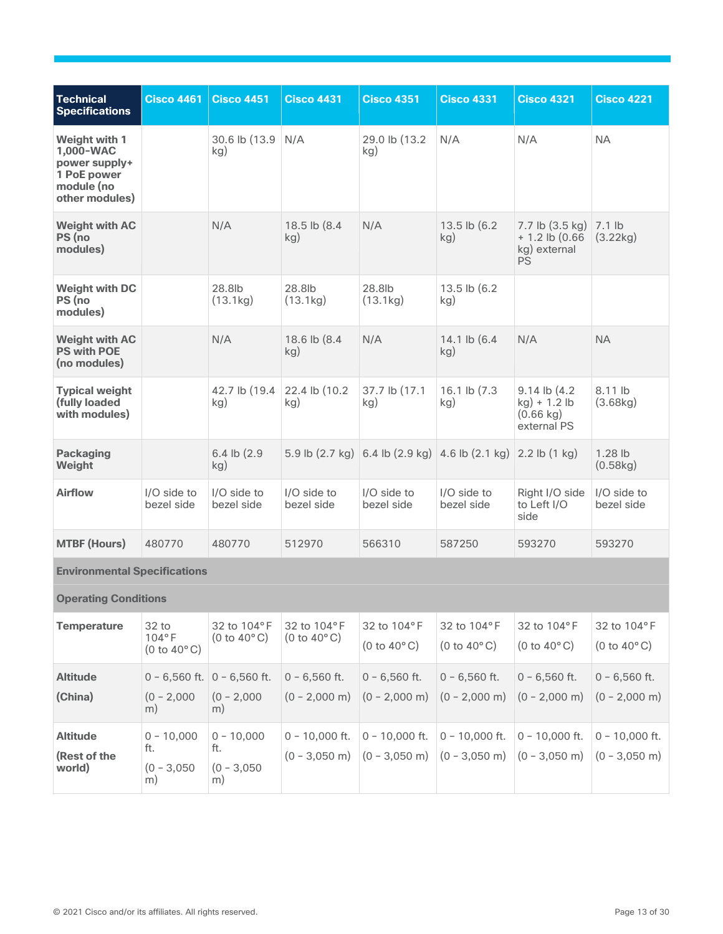| <b>Technical</b><br><b>Specifications</b>                                                  | <b>Cisco 4461</b>         | <b>Cisco 4451</b>         | <b>Cisco 4431</b>         | <b>Cisco 4351</b>                                                             | <b>Cisco 4331</b>         | <b>Cisco 4321</b>                                                       | <b>Cisco 4221</b>         |
|--------------------------------------------------------------------------------------------|---------------------------|---------------------------|---------------------------|-------------------------------------------------------------------------------|---------------------------|-------------------------------------------------------------------------|---------------------------|
| Weight with 1<br>1,000-WAC<br>power supply+<br>1 PoE power<br>module (no<br>other modules) |                           | 30.6 lb (13.9<br>kg)      | N/A                       | 29.0 lb (13.2)<br>kg)                                                         | N/A                       | N/A                                                                     | <b>NA</b>                 |
| <b>Weight with AC</b><br>PS (no<br>modules)                                                |                           | N/A                       | 18.5 lb (8.4<br>kg)       | N/A                                                                           | 13.5 lb (6.2)<br>kg)      | 7.7 lb (3.5 kg)<br>$+ 1.2$ lb (0.66)<br>kg) external<br><b>PS</b>       | 7.1 lb<br>(3.22kg)        |
| <b>Weight with DC</b><br>PS (no<br>modules)                                                |                           | 28.8lb<br>(13.1kg)        | 28.8lb<br>(13.1kg)        | 28.8lb<br>(13.1kg)                                                            | 13.5 lb (6.2)<br>kg)      |                                                                         |                           |
| <b>Weight with AC</b><br><b>PS with POE</b><br>(no modules)                                |                           | N/A                       | 18.6 lb (8.4<br>kg)       | N/A                                                                           | 14.1 lb (6.4<br>kg)       | N/A                                                                     | <b>NA</b>                 |
| <b>Typical weight</b><br>(fully loaded<br>with modules)                                    |                           | 42.7 lb (19.4<br>kg)      | 22.4 lb (10.2)<br>kg)     | 37.7 lb (17.1<br>kg)                                                          | 16.1 lb (7.3)<br>kg)      | $9.14$ lb $(4.2)$<br>kg) + 1.2 lb<br>$(0.66 \text{ kg})$<br>external PS | 8.11 lb<br>(3.68kg)       |
| <b>Packaging</b><br>Weight                                                                 |                           | 6.4 lb (2.9)<br>kg)       |                           | 5.9 lb $(2.7 \text{ kg})$ 6.4 lb $(2.9 \text{ kg})$ 4.6 lb $(2.1 \text{ kg})$ |                           | $2.2$ lb $(1$ kg)                                                       | $1.28$ lb<br>(0.58kg)     |
| <b>Airflow</b>                                                                             | I/O side to<br>bezel side | I/O side to<br>bezel side | I/O side to<br>bezel side | I/O side to<br>bezel side                                                     | I/O side to<br>bezel side | Right I/O side<br>to Left I/O<br>side                                   | I/O side to<br>bezel side |
| <b>MTBF (Hours)</b>                                                                        | 480770                    | 480770                    | 512970                    | 566310                                                                        | 587250                    | 593270                                                                  | 593270                    |
| <b>Environmental Specifications</b>                                                        |                           |                           |                           |                                                                               |                           |                                                                         |                           |

<span id="page-12-2"></span><span id="page-12-1"></span><span id="page-12-0"></span>

|  |  | <b>Operating Conditions</b> |
|--|--|-----------------------------|
|--|--|-----------------------------|

| <b>Temperature</b>                        | 32 <sub>to</sub><br>$104^{\circ}$ F<br>$(0 to 40^{\circ} \text{C})$ | 32 to 104°F<br>$(0 to 40^{\circ} \text{C})$            | 32 to 104°F<br>$(0 to 40^{\circ} \text{C})$ | 32 to 104°F<br>$(0 to 40^{\circ}$ C)                                                                               | 32 to 104°F<br>$(0 to 40^{\circ} \text{C})$ | 32 to 104°F<br>$(0 to 40^{\circ} \text{C})$                                                                                                  | 32 to 104°F<br>$(0 to 40^{\circ} \text{C})$ |
|-------------------------------------------|---------------------------------------------------------------------|--------------------------------------------------------|---------------------------------------------|--------------------------------------------------------------------------------------------------------------------|---------------------------------------------|----------------------------------------------------------------------------------------------------------------------------------------------|---------------------------------------------|
| <b>Altitude</b><br>(China)                | $(0 - 2,000)$<br>m)                                                 | $0 - 6,560$ ft. $0 - 6,560$ ft.<br>$(0 - 2,000)$<br>m) | $0 - 6.560$ ft.                             | $0 - 6.560$ ft.<br>$(0 - 2,000 \text{ m})$ $(0 - 2,000 \text{ m})$ $(0 - 2,000 \text{ m})$ $(0 - 2,000 \text{ m})$ | $0 - 6,560$ ft.                             | $0 - 6.560$ ft.                                                                                                                              | $0 - 6.560$ ft.<br>$(0 - 2.000$ m)          |
| <b>Altitude</b><br>(Rest of the<br>world) | $0 - 10,000$<br>ft.<br>$(0 - 3,050)$<br>m)                          | $0 - 10,000$<br>ft.<br>$(0 - 3,050)$<br>m)             | $0 - 10,000$ ft. $0 - 10,000$ ft.           |                                                                                                                    | $0 - 10,000$ ft.                            | $ 0 - 10.000$ ft.<br>$(0 - 3,050 \text{ m})$ $(0 - 3,050 \text{ m})$ $(0 - 3,050 \text{ m})$ $(0 - 3,050 \text{ m})$ $(0 - 3,050 \text{ m})$ | $0 - 10,000$ ft.                            |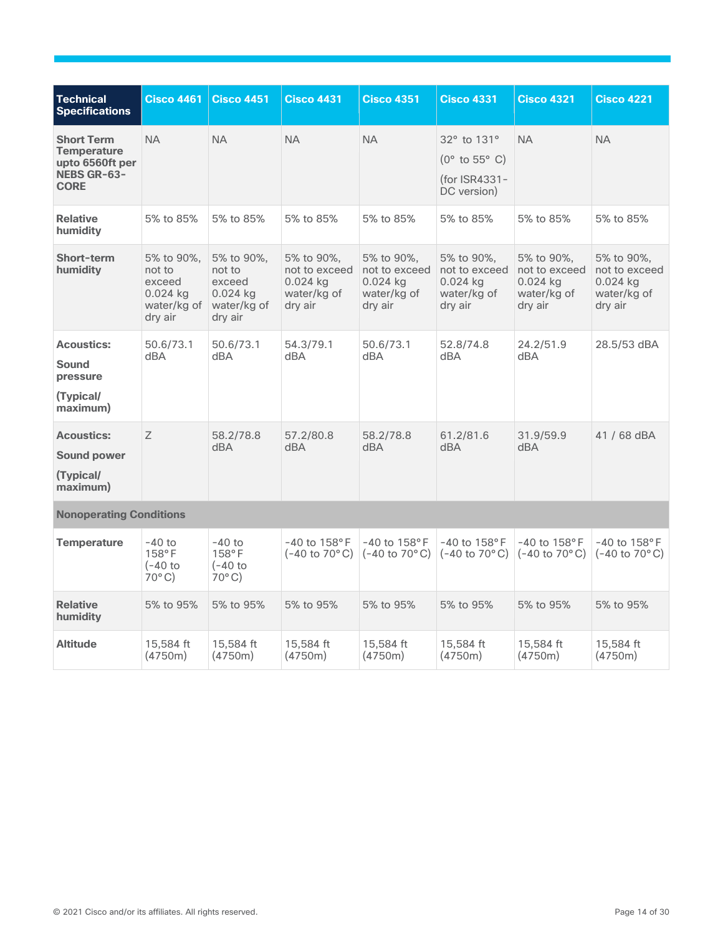| <b>Technical</b><br><b>Specifications</b>                                                       | <b>Cisco 4461</b>                                                      | <b>Cisco 4451</b>                                                      | <b>Cisco 4431</b>                                                   | <b>Cisco 4351</b>                                                   | <b>Cisco 4331</b>                                                     | <b>Cisco 4321</b>                                                   | <b>Cisco 4221</b>                                                   |
|-------------------------------------------------------------------------------------------------|------------------------------------------------------------------------|------------------------------------------------------------------------|---------------------------------------------------------------------|---------------------------------------------------------------------|-----------------------------------------------------------------------|---------------------------------------------------------------------|---------------------------------------------------------------------|
| <b>Short Term</b><br><b>Temperature</b><br>upto 6560ft per<br><b>NEBS GR-63-</b><br><b>CORE</b> | <b>NA</b>                                                              | <b>NA</b>                                                              | <b>NA</b>                                                           | <b>NA</b>                                                           | 32° to 131°<br>$(0^{\circ}$ to 55° C)<br>(for ISR4331-<br>DC version) | <b>NA</b>                                                           | <b>NA</b>                                                           |
| <b>Relative</b><br>humidity                                                                     | 5% to 85%                                                              | 5% to 85%                                                              | 5% to 85%                                                           | 5% to 85%                                                           | 5% to 85%                                                             | 5% to 85%                                                           | 5% to 85%                                                           |
| Short-term<br>humidity                                                                          | 5% to 90%,<br>not to<br>exceed<br>$0.024$ kg<br>water/kg of<br>dry air | 5% to 90%,<br>not to<br>exceed<br>$0.024$ kg<br>water/kg of<br>dry air | 5% to 90%,<br>not to exceed<br>$0.024$ kg<br>water/kg of<br>dry air | 5% to 90%,<br>not to exceed<br>$0.024$ kg<br>water/kg of<br>dry air | 5% to 90%,<br>not to exceed<br>$0.024$ kg<br>water/kg of<br>dry air   | 5% to 90%,<br>not to exceed<br>$0.024$ kg<br>water/kg of<br>dry air | 5% to 90%,<br>not to exceed<br>$0.024$ kg<br>water/kg of<br>dry air |
| <b>Acoustics:</b><br><b>Sound</b><br>pressure<br>(Typical/<br>maximum)                          | 50.6/73.1<br>dBA                                                       | 50.6/73.1<br>dBA                                                       | 54.3/79.1<br>dBA                                                    | 50.6/73.1<br>dBA                                                    | 52.8/74.8<br>dBA                                                      | 24.2/51.9<br>dBA                                                    | 28.5/53 dBA                                                         |
| <b>Acoustics:</b><br><b>Sound power</b><br>(Typical/<br>maximum)                                | Z                                                                      | 58.2/78.8<br>dBA                                                       | 57.2/80.8<br>dBA                                                    | 58.2/78.8<br>dBA                                                    | 61.2/81.6<br>dBA                                                      | 31.9/59.9<br>dBA                                                    | 41 / 68 dBA                                                         |
| <b>Nonoperating Conditions</b>                                                                  |                                                                        |                                                                        |                                                                     |                                                                     |                                                                       |                                                                     |                                                                     |
| <b>Temperature</b>                                                                              | $-40$ to<br>158°F<br>$(-40)$<br>$70^{\circ}$ C)                        | $-40$ to<br>158°F<br>$(-40)$<br>$70^{\circ}$ C)                        | $-40$ to $158^{\circ}$ F<br>$(-40 \text{ to } 70^{\circ} \text{C})$ | $-40$ to $158^{\circ}$ F<br>$(-40 \text{ to } 70^{\circ} \text{C})$ | $-40$ to $158$ °F<br>$(-40 \text{ to } 70^{\circ} \text{C})$          | $-40$ to $158^{\circ}$ F<br>$(-40 \text{ to } 70^{\circ} \text{C})$ | $-40$ to $158^{\circ}$ F<br>$(-40 \text{ to } 70^{\circ} \text{C})$ |
| <b>Relative</b><br>humidity                                                                     | 5% to 95%                                                              | 5% to 95%                                                              | 5% to 95%                                                           | 5% to 95%                                                           | 5% to 95%                                                             | 5% to 95%                                                           | 5% to 95%                                                           |
| <b>Altitude</b>                                                                                 | 15,584 ft<br>(4750m)                                                   | 15,584 ft<br>(4750m)                                                   | 15,584 ft<br>(4750m)                                                | 15,584 ft<br>(4750m)                                                | 15,584 ft<br>(4750m)                                                  | 15,584 ft<br>(4750m)                                                | 15,584 ft<br>(4750m)                                                |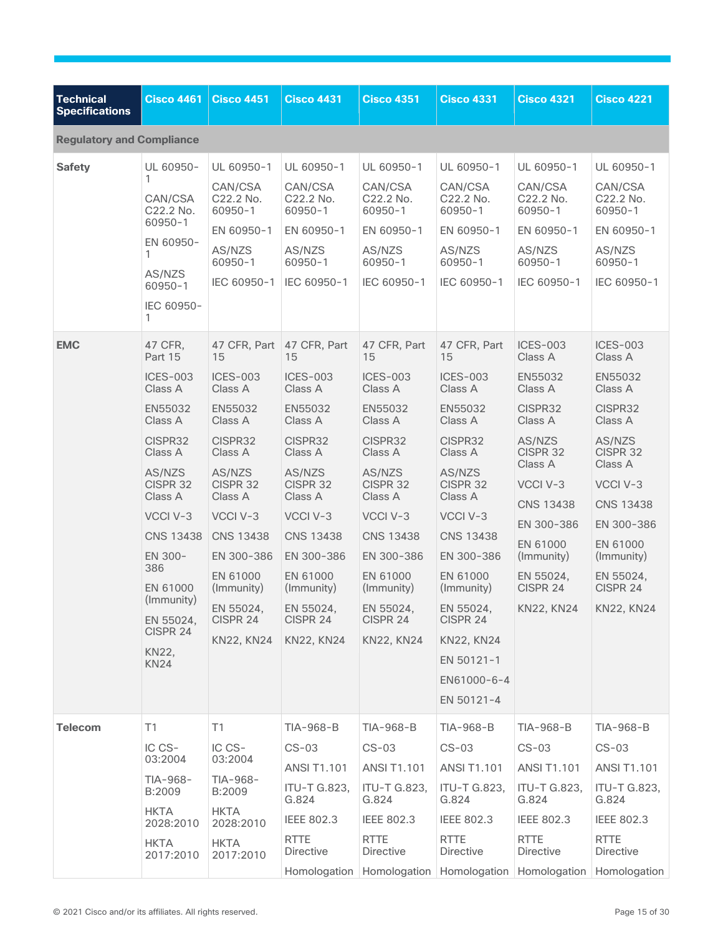<span id="page-14-0"></span>

| <b>Technical</b><br><b>Specifications</b> | <b>Cisco 4461</b>                    | <b>Cisco 4451</b>                   | <b>Cisco 4431</b>                   | <b>Cisco 4351</b>                   | <b>Cisco 4331</b>                   | <b>Cisco 4321</b>                                                | <b>Cisco 4221</b>                   |
|-------------------------------------------|--------------------------------------|-------------------------------------|-------------------------------------|-------------------------------------|-------------------------------------|------------------------------------------------------------------|-------------------------------------|
| <b>Regulatory and Compliance</b>          |                                      |                                     |                                     |                                     |                                     |                                                                  |                                     |
| <b>Safety</b>                             | UL 60950-                            | UL 60950-1                          | UL 60950-1                          | UL 60950-1                          | UL 60950-1                          | UL 60950-1                                                       | UL 60950-1                          |
|                                           | 1<br>CAN/CSA<br>C22.2 No.<br>60950-1 | CAN/CSA<br>C22.2 No.<br>$60950 - 1$ | CAN/CSA<br>C22.2 No.<br>$60950 - 1$ | CAN/CSA<br>C22.2 No.<br>$60950 - 1$ | CAN/CSA<br>C22.2 No.<br>$60950 - 1$ | CAN/CSA<br>C22.2 No.<br>$60950 - 1$                              | CAN/CSA<br>C22.2 No.<br>$60950 - 1$ |
|                                           |                                      | EN 60950-1                          | EN 60950-1                          | EN 60950-1                          | EN 60950-1                          | EN 60950-1                                                       | EN 60950-1                          |
|                                           | EN 60950-<br>1                       | AS/NZS<br>$60950 - 1$               | AS/NZS<br>$60950 - 1$               | AS/NZS<br>$60950 - 1$               | AS/NZS<br>$60950 - 1$               | AS/NZS<br>$60950 - 1$                                            | AS/NZS<br>$60950 - 1$               |
|                                           | AS/NZS<br>$60950 - 1$                | IEC 60950-1                         | IEC 60950-1                         | IEC 60950-1                         | IEC 60950-1                         | IEC 60950-1                                                      | IEC 60950-1                         |
|                                           | IEC 60950-<br>1                      |                                     |                                     |                                     |                                     |                                                                  |                                     |
| <b>EMC</b>                                | 47 CFR,<br>Part 15                   | 47 CFR, Part<br>15                  | 47 CFR, Part<br>15                  | 47 CFR, Part<br>15                  | 47 CFR, Part<br>15                  | <b>ICES-003</b><br>Class A                                       | <b>ICES-003</b><br>Class A          |
|                                           | <b>ICES-003</b><br>Class A           | <b>ICES-003</b><br>Class A          | <b>ICES-003</b><br>Class A          | <b>ICES-003</b><br>Class A          | <b>ICES-003</b><br>Class A          | EN55032<br>Class A                                               | EN55032<br>Class A                  |
|                                           | EN55032<br>Class A                   | EN55032<br>Class A                  | EN55032<br>Class A                  | EN55032<br>Class A                  | EN55032<br>Class A                  | CISPR32<br>Class A                                               | CISPR32<br>Class A                  |
|                                           | CISPR32<br>Class A                   | CISPR32<br>Class A                  | CISPR32<br>Class A                  | CISPR32<br>Class A                  | CISPR32<br>Class A                  | AS/NZS<br>CISPR 32                                               | AS/NZS<br>CISPR 32                  |
|                                           | AS/NZS<br>CISPR 32                   | AS/NZS<br>CISPR <sub>32</sub>       | AS/NZS<br>CISPR <sub>32</sub>       | AS/NZS<br>CISPR 32                  | AS/NZS<br>CISPR 32                  | Class A<br>VCCI V-3                                              | Class A<br>VCCI V-3                 |
|                                           | Class A                              | Class A                             | Class A                             | Class A                             | Class A                             | <b>CNS 13438</b>                                                 | <b>CNS 13438</b>                    |
|                                           | VCCI V-3<br><b>CNS 13438</b>         | VCCI V-3<br><b>CNS 13438</b>        | VCCI V-3<br><b>CNS 13438</b>        | VCCI V-3<br><b>CNS 13438</b>        | VCCI V-3<br><b>CNS 13438</b>        | EN 300-386                                                       | EN 300-386                          |
|                                           | EN 300-                              | EN 300-386                          | EN 300-386                          | EN 300-386                          | EN 300-386                          | EN 61000<br>(Immunity)                                           | EN 61000<br>(Immunity)              |
|                                           | 386<br>EN 61000                      | EN 61000<br>(Immunity)              | EN 61000<br>(Immunity)              | EN 61000<br>(Immunity)              | EN 61000<br>(Immunity)              | EN 55024,<br>CISPR 24                                            | EN 55024,<br>CISPR 24               |
|                                           | (Immunity)<br>EN 55024,              | EN 55024,<br>CISPR 24               | EN 55024,<br>CISPR 24               | EN 55024,<br>CISPR 24               | EN 55024,<br>CISPR 24               | KN22, KN24                                                       | KN22, KN24                          |
|                                           | CISPR 24                             | <b>KN22, KN24</b>                   | KN22, KN24                          | <b>KN22, KN24</b>                   | <b>KN22, KN24</b>                   |                                                                  |                                     |
|                                           | <b>KN22.</b><br>KN <sub>24</sub>     |                                     |                                     |                                     | EN 50121-1                          |                                                                  |                                     |
|                                           |                                      |                                     |                                     |                                     | EN61000-6-4                         |                                                                  |                                     |
|                                           |                                      |                                     |                                     |                                     | EN 50121-4                          |                                                                  |                                     |
| <b>Telecom</b>                            | T1                                   | T1                                  | TIA-968-B                           | TIA-968-B                           | TIA-968-B                           | TIA-968-B                                                        | TIA-968-B                           |
|                                           | IC CS-<br>03:2004                    | IC CS-<br>03:2004                   | $CS-03$                             | $CS-03$                             | $CS-03$                             | $CS-03$                                                          | $CS-03$                             |
|                                           | TIA-968-                             | TIA-968-                            | <b>ANSI T1.101</b>                  | <b>ANSI T1.101</b>                  | <b>ANSI T1.101</b>                  | <b>ANSI T1.101</b>                                               | <b>ANSI T1.101</b>                  |
|                                           | B:2009<br><b>HKTA</b>                | B:2009<br><b>HKTA</b>               | ITU-T G.823,<br>G.824               | <b>ITU-T G.823,</b><br>G.824        | <b>ITU-T G.823,</b><br>G.824        | <b>ITU-T G.823,</b><br>G.824                                     | ITU-T G.823,<br>G.824               |
|                                           | 2028:2010                            | 2028:2010                           | <b>IEEE 802.3</b>                   | <b>IEEE 802.3</b>                   | <b>IEEE 802.3</b>                   | <b>IEEE 802.3</b>                                                | <b>IEEE 802.3</b>                   |
|                                           | HKTA<br>2017:2010                    | <b>HKTA</b><br>2017:2010            | <b>RTTE</b><br><b>Directive</b>     | RTTE<br><b>Directive</b>            | <b>RTTE</b><br><b>Directive</b>     | <b>RTTE</b><br><b>Directive</b>                                  | <b>RTTE</b><br><b>Directive</b>     |
|                                           |                                      |                                     |                                     |                                     |                                     | Homologation Homologation Homologation Homologation Homologation |                                     |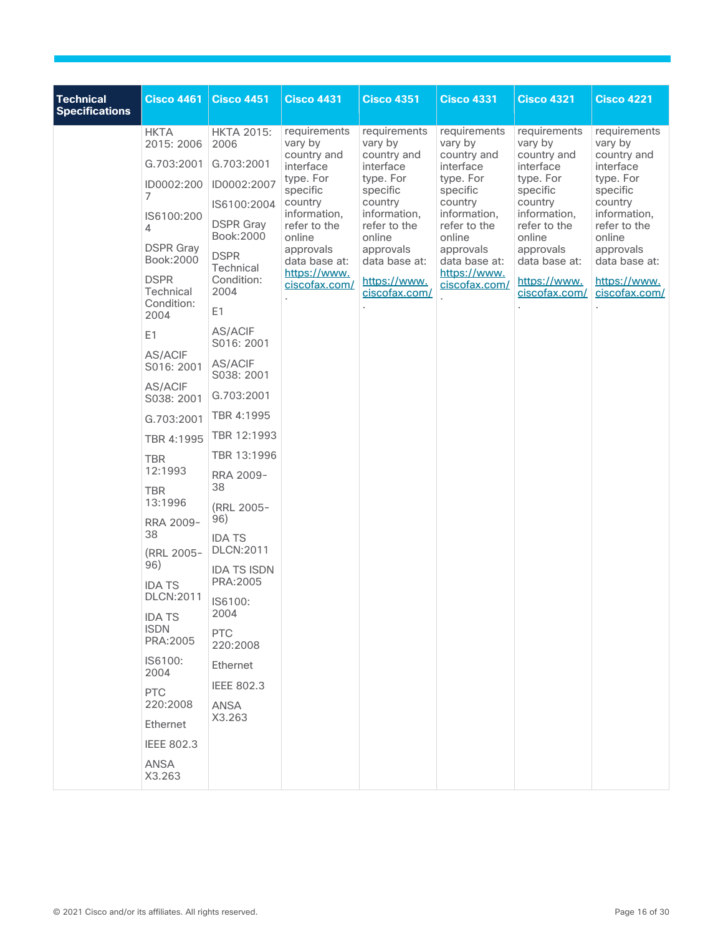| <b>Technical</b><br><b>Specifications</b> | <b>Cisco 4461</b>                              | <b>Cisco 4451</b>                             | <b>Cisco 4431</b>                                             | <b>Cisco 4351</b>                                 | <b>Cisco 4331</b>                                                                                                | <b>Cisco 4321</b>                                                                                      | <b>Cisco 4221</b>                                                                                      |
|-------------------------------------------|------------------------------------------------|-----------------------------------------------|---------------------------------------------------------------|---------------------------------------------------|------------------------------------------------------------------------------------------------------------------|--------------------------------------------------------------------------------------------------------|--------------------------------------------------------------------------------------------------------|
|                                           | <b>HKTA</b><br>2015: 2006                      | <b>HKTA 2015:</b><br>2006                     | requirements<br>vary by                                       | requirements<br>vary by                           | requirements<br>vary by                                                                                          | requirements<br>vary by                                                                                | requirements<br>vary by                                                                                |
|                                           | G.703:2001                                     | G.703:2001                                    | country and<br>interface                                      | country and<br>interface                          | country and<br>interface                                                                                         | country and<br>interface<br>type. For<br>specific<br>country<br>information,<br>refer to the<br>online | country and<br>interface<br>type. For<br>specific<br>country<br>information,<br>refer to the<br>online |
|                                           | ID0002:200                                     | ID0002:2007                                   | type. For                                                     | type. For<br>specific                             | type. For<br>specific                                                                                            |                                                                                                        |                                                                                                        |
|                                           | 7<br>IS6100:200<br>4                           | IS6100:2004<br><b>DSPR</b> Gray<br>Book: 2000 | specific<br>country<br>information,<br>refer to the<br>online | country<br>information,<br>refer to the<br>online | country<br>information,<br>refer to the<br>online<br>approvals<br>data base at:<br>https://www.<br>ciscofax.com/ |                                                                                                        |                                                                                                        |
|                                           | <b>DSPR Gray</b><br>Book: 2000                 | <b>DSPR</b><br>Technical                      | approvals<br>data base at:                                    | approvals<br>data base at:                        |                                                                                                                  | approvals<br>data base at:                                                                             | approvals<br>data base at:                                                                             |
|                                           | <b>DSPR</b><br>Technical<br>Condition:<br>2004 | Condition:<br>2004<br>E <sub>1</sub>          | https://www.<br>ciscofax.com/                                 | https://www.<br>ciscofax.com/                     |                                                                                                                  | https://www.<br>ciscofax.com/                                                                          | https://www.<br>ciscofax.com/                                                                          |
|                                           | E1                                             | <b>AS/ACIF</b><br>S016: 2001                  |                                                               |                                                   |                                                                                                                  |                                                                                                        |                                                                                                        |
|                                           | AS/ACIF<br>S016: 2001                          | <b>AS/ACIF</b><br>S038: 2001                  |                                                               |                                                   |                                                                                                                  |                                                                                                        |                                                                                                        |
|                                           | AS/ACIF<br>S038: 2001                          | G.703:2001                                    |                                                               |                                                   |                                                                                                                  |                                                                                                        |                                                                                                        |
|                                           | G.703:2001                                     | TBR 4:1995                                    |                                                               |                                                   |                                                                                                                  |                                                                                                        |                                                                                                        |
|                                           | TBR 4:1995                                     | TBR 12:1993                                   |                                                               |                                                   |                                                                                                                  |                                                                                                        |                                                                                                        |
|                                           | <b>TBR</b>                                     | TBR 13:1996                                   |                                                               |                                                   |                                                                                                                  |                                                                                                        |                                                                                                        |
|                                           | 12:1993<br><b>TBR</b><br>13:1996               | RRA 2009-<br>38                               |                                                               |                                                   |                                                                                                                  |                                                                                                        |                                                                                                        |
|                                           | RRA 2009-                                      | (RRL 2005-<br>96)                             |                                                               |                                                   |                                                                                                                  |                                                                                                        |                                                                                                        |
|                                           | 38<br>(RRL 2005-                               | <b>IDA TS</b><br><b>DLCN:2011</b>             |                                                               |                                                   |                                                                                                                  |                                                                                                        |                                                                                                        |
|                                           | 96)<br><b>IDA TS</b>                           | <b>IDA TS ISDN</b><br>PRA: 2005               |                                                               |                                                   |                                                                                                                  |                                                                                                        |                                                                                                        |
|                                           | <b>DLCN:2011</b><br><b>IDA TS</b>              | IS6100:<br>2004                               |                                                               |                                                   |                                                                                                                  |                                                                                                        |                                                                                                        |
|                                           | <b>ISDN</b><br>PRA:2005                        | <b>PTC</b><br>220:2008                        |                                                               |                                                   |                                                                                                                  |                                                                                                        |                                                                                                        |
|                                           | IS6100:<br>2004                                | Ethernet                                      |                                                               |                                                   |                                                                                                                  |                                                                                                        |                                                                                                        |
|                                           | <b>PTC</b><br>220:2008                         | <b>IEEE 802.3</b><br><b>ANSA</b>              |                                                               |                                                   |                                                                                                                  |                                                                                                        |                                                                                                        |
|                                           | Ethernet                                       | X3.263                                        |                                                               |                                                   |                                                                                                                  |                                                                                                        |                                                                                                        |
|                                           | <b>IEEE 802.3</b>                              |                                               |                                                               |                                                   |                                                                                                                  |                                                                                                        |                                                                                                        |
|                                           | <b>ANSA</b><br>X3.263                          |                                               |                                                               |                                                   |                                                                                                                  |                                                                                                        |                                                                                                        |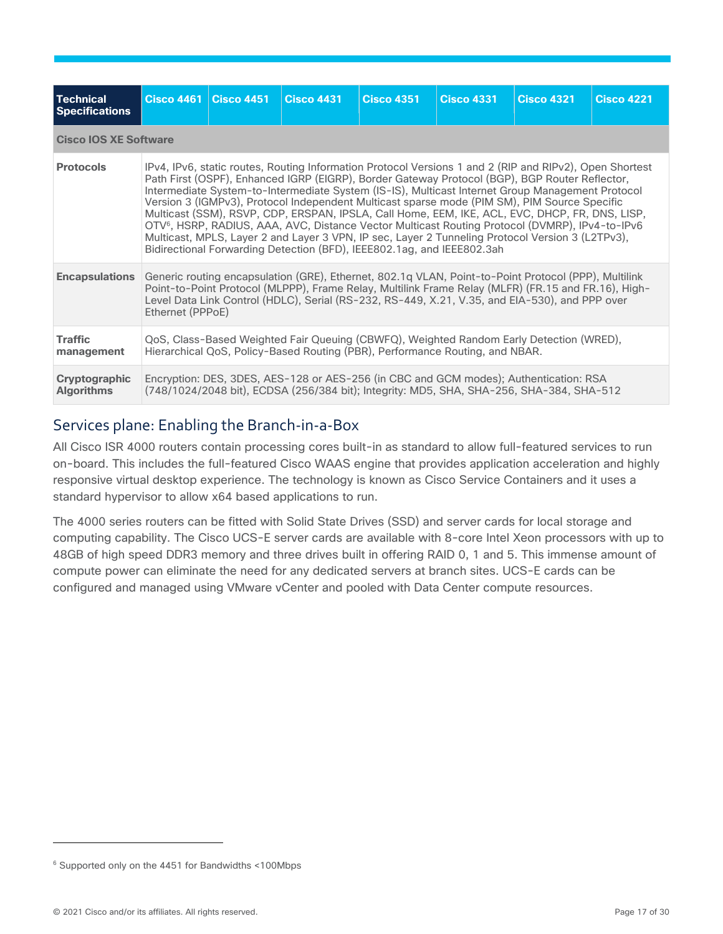| <b>Technical</b><br><b>Specifications</b> | <b>Cisco 4461</b>                                                                                                                                                                                                                                                                                                                 | <b>Cisco 4451</b>                                                                                                                                                                                                                                                                                                                                                                                                                                                                                                                                                                                                                                                                                                                                                                                            | <b>Cisco 4431</b> | <b>Cisco 4351</b>                                                                                                                                                                 | <b>Cisco 4331</b> | <b>Cisco 4321</b> | <b>Cisco 4221</b> |
|-------------------------------------------|-----------------------------------------------------------------------------------------------------------------------------------------------------------------------------------------------------------------------------------------------------------------------------------------------------------------------------------|--------------------------------------------------------------------------------------------------------------------------------------------------------------------------------------------------------------------------------------------------------------------------------------------------------------------------------------------------------------------------------------------------------------------------------------------------------------------------------------------------------------------------------------------------------------------------------------------------------------------------------------------------------------------------------------------------------------------------------------------------------------------------------------------------------------|-------------------|-----------------------------------------------------------------------------------------------------------------------------------------------------------------------------------|-------------------|-------------------|-------------------|
|                                           | <b>Cisco IOS XE Software</b>                                                                                                                                                                                                                                                                                                      |                                                                                                                                                                                                                                                                                                                                                                                                                                                                                                                                                                                                                                                                                                                                                                                                              |                   |                                                                                                                                                                                   |                   |                   |                   |
| <b>Protocols</b>                          |                                                                                                                                                                                                                                                                                                                                   | IPv4, IPv6, static routes, Routing Information Protocol Versions 1 and 2 (RIP and RIPv2), Open Shortest<br>Path First (OSPF), Enhanced IGRP (EIGRP), Border Gateway Protocol (BGP), BGP Router Reflector,<br>Intermediate System-to-Intermediate System (IS-IS), Multicast Internet Group Management Protocol<br>Version 3 (IGMPv3), Protocol Independent Multicast sparse mode (PIM SM), PIM Source Specific<br>Multicast (SSM), RSVP, CDP, ERSPAN, IPSLA, Call Home, EEM, IKE, ACL, EVC, DHCP, FR, DNS, LISP,<br>OTV <sup>6</sup> , HSRP, RADIUS, AAA, AVC, Distance Vector Multicast Routing Protocol (DVMRP), IPv4-to-IPv6<br>Multicast, MPLS, Layer 2 and Layer 3 VPN, IP sec, Layer 2 Tunneling Protocol Version 3 (L2TPv3),<br>Bidirectional Forwarding Detection (BFD), IEEE802.1ag, and IEEE802.3ah |                   |                                                                                                                                                                                   |                   |                   |                   |
| <b>Encapsulations</b>                     | Generic routing encapsulation (GRE), Ethernet, 802.1q VLAN, Point-to-Point Protocol (PPP), Multilink<br>Point-to-Point Protocol (MLPPP), Frame Relay, Multilink Frame Relay (MLFR) (FR.15 and FR.16), High-<br>Level Data Link Control (HDLC), Serial (RS-232, RS-449, X.21, V.35, and EIA-530), and PPP over<br>Ethernet (PPPoE) |                                                                                                                                                                                                                                                                                                                                                                                                                                                                                                                                                                                                                                                                                                                                                                                                              |                   |                                                                                                                                                                                   |                   |                   |                   |
| <b>Traffic</b><br>management              |                                                                                                                                                                                                                                                                                                                                   | QoS, Class-Based Weighted Fair Queuing (CBWFQ), Weighted Random Early Detection (WRED),<br>Hierarchical QoS, Policy-Based Routing (PBR), Performance Routing, and NBAR.                                                                                                                                                                                                                                                                                                                                                                                                                                                                                                                                                                                                                                      |                   |                                                                                                                                                                                   |                   |                   |                   |
| Cryptographic<br><b>Algorithms</b>        |                                                                                                                                                                                                                                                                                                                                   |                                                                                                                                                                                                                                                                                                                                                                                                                                                                                                                                                                                                                                                                                                                                                                                                              |                   | Encryption: DES, 3DES, AES-128 or AES-256 (in CBC and GCM modes); Authentication: RSA<br>(748/1024/2048 bit), ECDSA (256/384 bit); Integrity: MD5, SHA, SHA-256, SHA-384, SHA-512 |                   |                   |                   |

## Services plane: Enabling the Branch-in-a-Box

All Cisco ISR 4000 routers contain processing cores built-in as standard to allow full-featured services to run on-board. This includes the full-featured Cisco WAAS engine that provides application acceleration and highly responsive virtual desktop experience. The technology is known as Cisco Service Containers and it uses a standard hypervisor to allow x64 based applications to run.

The 4000 series routers can be fitted with Solid State Drives (SSD) and server cards for local storage and computing capability. The Cisco UCS-E server cards are available with 8-core Intel Xeon processors with up to 48GB of high speed DDR3 memory and three drives built in offering RAID 0, 1 and 5. This immense amount of compute power can eliminate the need for any dedicated servers at branch sites. UCS-E cards can be configured and managed using VMware vCenter and pooled with Data Center compute resources.

<sup>6</sup> Supported only on the 4451 for Bandwidths <100Mbps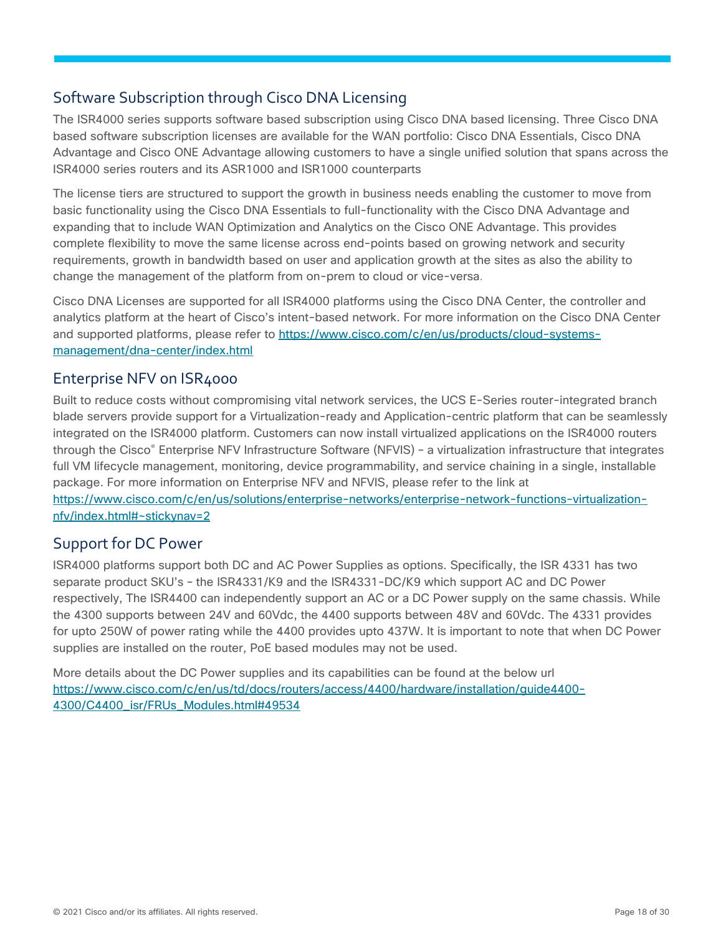## Software Subscription through Cisco DNA Licensing

The ISR4000 series supports software based subscription using Cisco DNA based licensing. Three Cisco DNA based software subscription licenses are available for the WAN portfolio: Cisco DNA Essentials, Cisco DNA Advantage and Cisco ONE Advantage allowing customers to have a single unified solution that spans across the ISR4000 series routers and its ASR1000 and ISR1000 counterparts

The license tiers are structured to support the growth in business needs enabling the customer to move from basic functionality using the Cisco DNA Essentials to full-functionality with the Cisco DNA Advantage and expanding that to include WAN Optimization and Analytics on the Cisco ONE Advantage. This provides complete flexibility to move the same license across end-points based on growing network and security requirements, growth in bandwidth based on user and application growth at the sites as also the ability to change the management of the platform from on-prem to cloud or vice-versa.

Cisco DNA Licenses are supported for all ISR4000 platforms using the Cisco DNA Center, the controller and analytics platform at the heart of Cisco's intent-based network. For more information on the Cisco DNA Center and supported platforms, please refer to [https://www.cisco.com/c/en/us/products/cloud-systems](https://www.cisco.com/c/en/us/products/cloud-systems-management/dna-center/index.html)[management/dna-center/index.html](https://www.cisco.com/c/en/us/products/cloud-systems-management/dna-center/index.html)

## Enterprise NFV on ISR4000

Built to reduce costs without compromising vital network services, the UCS E-Series router-integrated branch blade servers provide support for a Virtualization-ready and Application-centric platform that can be seamlessly integrated on the ISR4000 platform. Customers can now install virtualized applications on the ISR4000 routers through the Cisco® Enterprise NFV Infrastructure Software (NFVIS) – a virtualization infrastructure that integrates full VM lifecycle management, monitoring, device programmability, and service chaining in a single, installable package. For more information on Enterprise NFV and NFVIS, please refer to the link at [https://www.cisco.com/c/en/us/solutions/enterprise-networks/enterprise-network-functions-virtualization](https://www.cisco.com/c/en/us/solutions/enterprise-networks/enterprise-network-functions-virtualization-nfv/index.html#~stickynav=2)[nfv/index.html#~stickynav=2](https://www.cisco.com/c/en/us/solutions/enterprise-networks/enterprise-network-functions-virtualization-nfv/index.html#~stickynav=2)

## Support for DC Power

ISR4000 platforms support both DC and AC Power Supplies as options. Specifically, the ISR 4331 has two separate product SKU's – the ISR4331/K9 and the ISR4331-DC/K9 which support AC and DC Power respectively, The ISR4400 can independently support an AC or a DC Power supply on the same chassis. While the 4300 supports between 24V and 60Vdc, the 4400 supports between 48V and 60Vdc. The 4331 provides for upto 250W of power rating while the 4400 provides upto 437W. It is important to note that when DC Power supplies are installed on the router, PoE based modules may not be used.

More details about the DC Power supplies and its capabilities can be found at the below url [https://www.cisco.com/c/en/us/td/docs/routers/access/4400/hardware/installation/guide4400-](https://cisco-router-switch-firewall.com/wp-content/uploads/2021/09/Hardware-Installation-Guide-for-Cisco-4000-Series-Integrated-Services-Routers.pdf) [4300/C4400\\_isr/FRUs\\_Modules.html#49534](https://www.cisco.com/c/en/us/td/docs/routers/access/4400/hardware/installation/guide4400-4300/C4400_isr/FRUs_Modules.html#49534)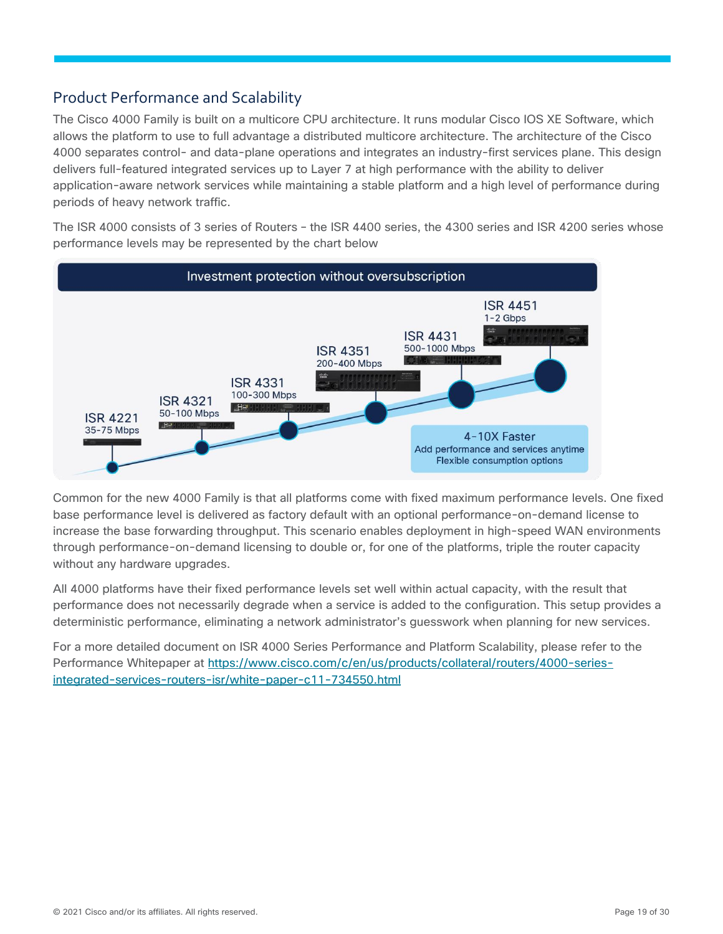## Product Performance and Scalability

The Cisco 4000 Family is built on a multicore CPU architecture. It runs modular Cisco IOS XE Software, which allows the platform to use to full advantage a distributed multicore architecture. The architecture of the Cisco 4000 separates control- and data-plane operations and integrates an industry-first services plane. This design delivers full-featured integrated services up to Layer 7 at high performance with the ability to deliver application-aware network services while maintaining a stable platform and a high level of performance during periods of heavy network traffic.

The ISR 4000 consists of 3 series of Routers – the ISR 4400 series, the 4300 series and ISR 4200 series whose performance levels may be represented by the chart below



Common for the new 4000 Family is that all platforms come with fixed maximum performance levels. One fixed base performance level is delivered as factory default with an optional performance-on-demand license to increase the base forwarding throughput. This scenario enables deployment in high-speed WAN environments through performance-on-demand licensing to double or, for one of the platforms, triple the router capacity without any hardware upgrades.

All 4000 platforms have their fixed performance levels set well within actual capacity, with the result that performance does not necessarily degrade when a service is added to the configuration. This setup provides a deterministic performance, eliminating a network administrator's guesswork when planning for new services.

For a more detailed document on ISR 4000 Series Performance and Platform Scalability, please refer to the Performance Whitepaper at [https://www.cisco.com/c/en/us/products/collateral/routers/4000-series](https://cisco-router-switch-firewall.com/cisco/routers/isr-4000-series/)[integrated-services-routers-isr/white-paper-c11-734550.html](https://cisco-router-switch-firewall.com/cisco/routers/isr-4000-series/)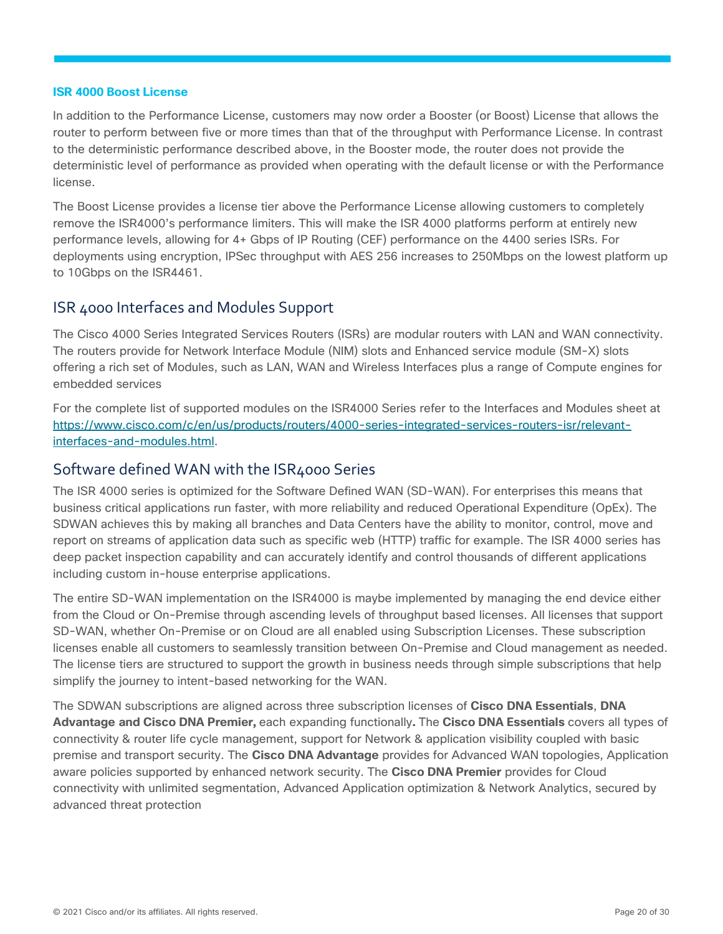#### **ISR 4000 Boost License**

In addition to the Performance License, customers may now order a Booster (or Boost) License that allows the router to perform between five or more times than that of the throughput with Performance License. In contrast to the deterministic performance described above, in the Booster mode, the router does not provide the deterministic level of performance as provided when operating with the default license or with the Performance license.

The Boost License provides a license tier above the Performance License allowing customers to completely remove the ISR4000's performance limiters. This will make the ISR 4000 platforms perform at entirely new performance levels, allowing for 4+ Gbps of IP Routing (CEF) performance on the 4400 series ISRs. For deployments using encryption, IPSec throughput with AES 256 increases to 250Mbps on the lowest platform up to 10Gbps on the ISR4461.

## <span id="page-19-0"></span>ISR 4000 Interfaces and Modules Support

The Cisco 4000 Series Integrated Services Routers (ISRs) are modular routers with LAN and WAN connectivity. The routers provide for Network Interface Module (NIM) slots and Enhanced service module (SM-X) slots offering a rich set of Modules, such as LAN, WAN and Wireless Interfaces plus a range of Compute engines for embedded services

For the complete list of supported modules on the ISR4000 Series refer to the Interfaces and Modules sheet at [https://www.cisco.com/c/en/us/products/routers/4000-series-integrated-services-routers-isr/relevant](https://www.cisco.com/c/en/us/products/routers/4000-series-integrated-services-routers-isr/relevant-interfaces-and-modules.html)[interfaces-and-modules.html.](https://www.cisco.com/c/en/us/products/routers/4000-series-integrated-services-routers-isr/relevant-interfaces-and-modules.html)

#### Software defined WAN with the ISR4000 Series

The ISR 4000 series is optimized for the Software Defined WAN (SD-WAN). For enterprises this means that business critical applications run faster, with more reliability and reduced Operational Expenditure (OpEx). The SDWAN achieves this by making all branches and Data Centers have the ability to monitor, control, move and report on streams of application data such as specific web (HTTP) traffic for example. The ISR 4000 series has deep packet inspection capability and can accurately identify and control thousands of different applications including custom in-house enterprise applications.

The entire SD-WAN implementation on the ISR4000 is maybe implemented by managing the end device either from the Cloud or On-Premise through ascending levels of throughput based licenses. All licenses that support SD-WAN, whether On-Premise or on Cloud are all enabled using Subscription Licenses. These subscription licenses enable all customers to seamlessly transition between On-Premise and Cloud management as needed. The license tiers are structured to support the growth in business needs through simple subscriptions that help simplify the journey to intent-based networking for the WAN.

The SDWAN subscriptions are aligned across three subscription licenses of **Cisco DNA Essentials**, **DNA Advantage and Cisco DNA Premier,** each expanding functionally**.** The **Cisco DNA Essentials** covers all types of connectivity & router life cycle management, support for Network & application visibility coupled with basic premise and transport security. The **Cisco DNA Advantage** provides for Advanced WAN topologies, Application aware policies supported by enhanced network security. The **Cisco DNA Premier** provides for Cloud connectivity with unlimited segmentation, Advanced Application optimization & Network Analytics, secured by advanced threat protection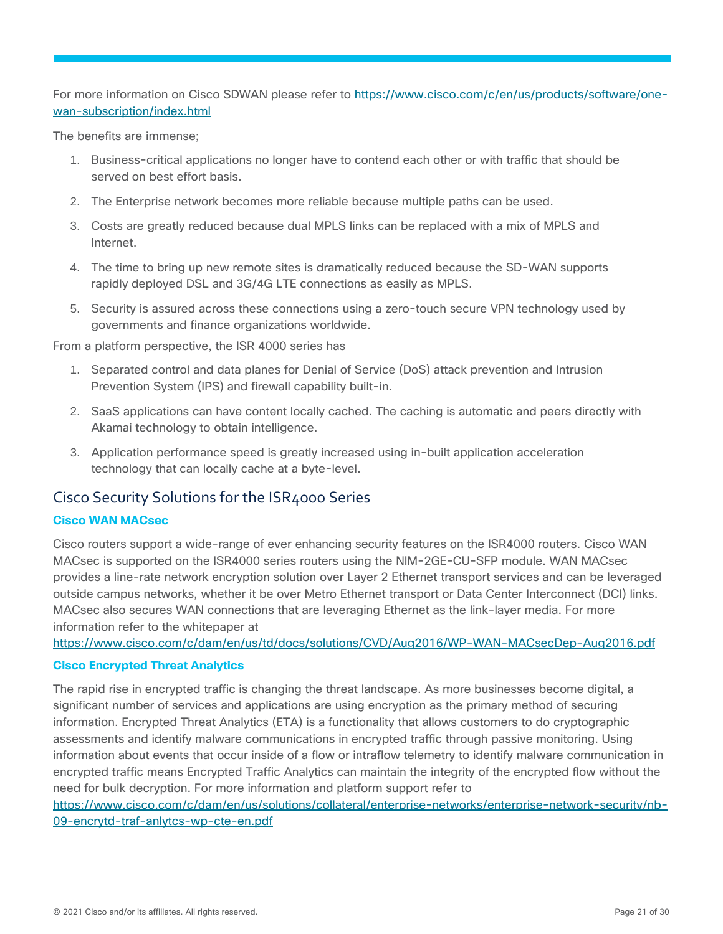For more information on Cisco SDWAN please refer to [https://www.cisco.com/c/en/us/products/software/one](https://www.cisco.com/c/en/us/products/software/one-wan-subscription/index.html)[wan-subscription/index.html](https://www.cisco.com/c/en/us/products/software/one-wan-subscription/index.html)

The benefits are immense;

- 1. Business-critical applications no longer have to contend each other or with traffic that should be served on best effort basis.
- 2. The Enterprise network becomes more reliable because multiple paths can be used.
- 3. Costs are greatly reduced because dual MPLS links can be replaced with a mix of MPLS and Internet.
- 4. The time to bring up new remote sites is dramatically reduced because the SD-WAN supports rapidly deployed DSL and 3G/4G LTE connections as easily as MPLS.
- 5. Security is assured across these connections using a zero-touch secure VPN technology used by governments and finance organizations worldwide.

From a platform perspective, the ISR 4000 series has

- 1. Separated control and data planes for Denial of Service (DoS) attack prevention and Intrusion Prevention System (IPS) and firewall capability built-in.
- 2. SaaS applications can have content locally cached. The caching is automatic and peers directly with Akamai technology to obtain intelligence.
- 3. Application performance speed is greatly increased using in-built application acceleration technology that can locally cache at a byte-level.

## Cisco Security Solutions for the ISR4000 Series

#### **Cisco WAN MACsec**

Cisco routers support a wide-range of ever enhancing security features on the ISR4000 routers. Cisco WAN MACsec is supported on the ISR4000 series routers using the NIM-2GE-CU-SFP module. WAN MACsec provides a line-rate network encryption solution over Layer 2 Ethernet transport services and can be leveraged outside campus networks, whether it be over Metro Ethernet transport or Data Center Interconnect (DCI) links. MACsec also secures WAN connections that are leveraging Ethernet as the link-layer media. For more information refer to the whitepaper at

[https://www.cisco.com/c/dam/en/us/td/docs/solutions/CVD/Aug2016/WP-WAN-MACsecDep-Aug2016.pdf](https://cisco-router-switch-firewall.com/wp-content/uploads/2021/09/WAN-MACsec-Deployment-White-Paper.pdf)

#### **Cisco Encrypted Threat Analytics**

The rapid rise in encrypted traffic is changing the threat landscape. As more businesses become digital, a significant number of services and applications are using encryption as the primary method of securing information. Encrypted Threat Analytics (ETA) is a functionality that allows customers to do cryptographic assessments and identify malware communications in encrypted traffic through passive monitoring. Using information about events that occur inside of a flow or intraflow telemetry to identify malware communication in encrypted traffic means Encrypted Traffic Analytics can maintain the integrity of the encrypted flow without the need for bulk decryption. For more information and platform support refer to

[https://www.cisco.com/c/dam/en/us/solutions/collateral/enterprise-networks/enterprise-network-security/nb-](https://www.cisco.com/c/dam/en/us/solutions/collateral/enterprise-networks/enterprise-network-security/nb-09-encrytd-traf-anlytcs-wp-cte-en.pdf)[09-encrytd-traf-anlytcs-wp-cte-en.pdf](https://www.cisco.com/c/dam/en/us/solutions/collateral/enterprise-networks/enterprise-network-security/nb-09-encrytd-traf-anlytcs-wp-cte-en.pdf)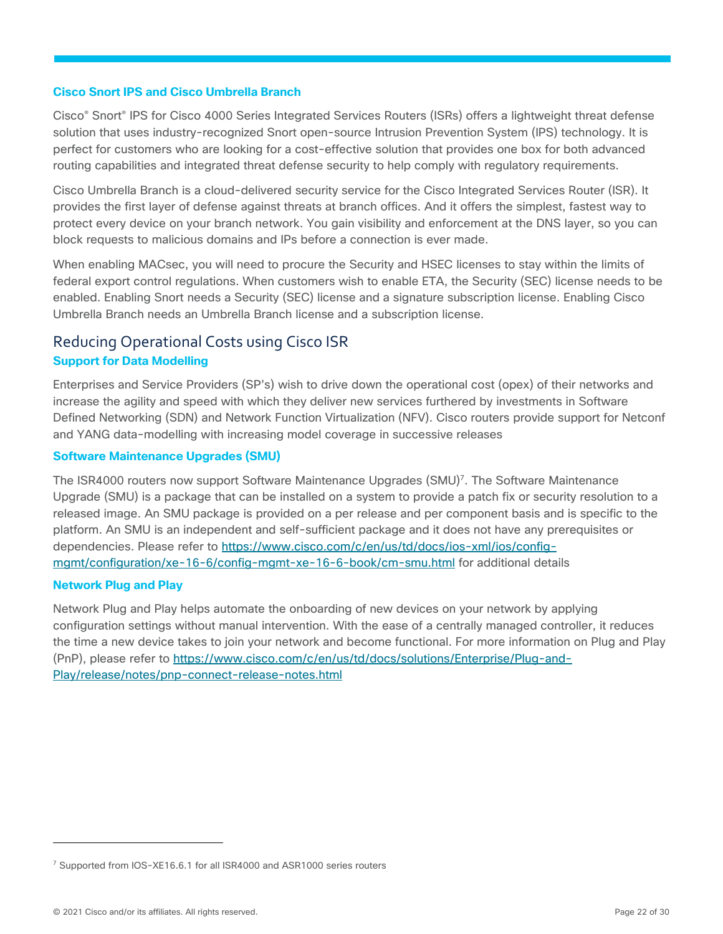#### **Cisco Snort IPS and Cisco Umbrella Branch**

Cisco® Snort® IPS for Cisco 4000 Series Integrated Services Routers (ISRs) offers a lightweight threat defense solution that uses industry-recognized Snort open-source Intrusion Prevention System (IPS) technology. It is perfect for customers who are looking for a cost-effective solution that provides one box for both advanced routing capabilities and integrated threat defense security to help comply with regulatory requirements.

Cisco Umbrella Branch is a cloud-delivered security service for the Cisco Integrated Services Router (ISR). It provides the first layer of defense against threats at branch offices. And it offers the simplest, fastest way to protect every device on your branch network. You gain visibility and enforcement at the DNS layer, so you can block requests to malicious domains and IPs before a connection is ever made.

When enabling MACsec, you will need to procure the Security and HSEC licenses to stay within the limits of federal export control regulations. When customers wish to enable ETA, the Security (SEC) license needs to be enabled. Enabling Snort needs a Security (SEC) license and a signature subscription license. Enabling Cisco Umbrella Branch needs an Umbrella Branch license and a subscription license.

## Reducing Operational Costs using Cisco ISR **Support for Data Modelling**

Enterprises and Service Providers (SP's) wish to drive down the operational cost (opex) of their networks and increase the agility and speed with which they deliver new services furthered by investments in Software Defined Networking (SDN) and Network Function Virtualization (NFV). Cisco routers provide support for Netconf and YANG data-modelling with increasing model coverage in successive releases

#### **Software Maintenance Upgrades (SMU)**

The ISR4000 routers now support Software Maintenance Upgrades (SMU)<sup>7</sup>. The Software Maintenance Upgrade (SMU) is a package that can be installed on a system to provide a patch fix or security resolution to a released image. An SMU package is provided on a per release and per component basis and is specific to the platform. An SMU is an independent and self-sufficient package and it does not have any prerequisites or dependencies. Please refer to [https://www.cisco.com/c/en/us/td/docs/ios-xml/ios/config](https://www.cisco.com/c/en/us/td/docs/ios-xml/ios/config-mgmt/configuration/xe-16-6/config-mgmt-xe-16-6-book/cm-smu.html)[mgmt/configuration/xe-16-6/config-mgmt-xe-16-6-book/cm-smu.html](https://www.cisco.com/c/en/us/td/docs/ios-xml/ios/config-mgmt/configuration/xe-16-6/config-mgmt-xe-16-6-book/cm-smu.html) for additional details

#### **Network Plug and Play**

Network Plug and Play helps automate the onboarding of new devices on your network by applying configuration settings without manual intervention. With the ease of a centrally managed controller, it reduces the time a new device takes to join your network and become functional. For more information on Plug and Play (PnP), please refer to [https://www.cisco.com/c/en/us/td/docs/solutions/Enterprise/Plug-and-](https://www.cisco.com/c/en/us/td/docs/solutions/Enterprise/Plug-and-Play/release/notes/pnp-connect-release-notes.html)[Play/release/notes/pnp-connect-release-notes.html](https://www.cisco.com/c/en/us/td/docs/solutions/Enterprise/Plug-and-Play/release/notes/pnp-connect-release-notes.html)

<sup>7</sup> Supported from IOS-XE16.6.1 for all ISR4000 and ASR1000 series routers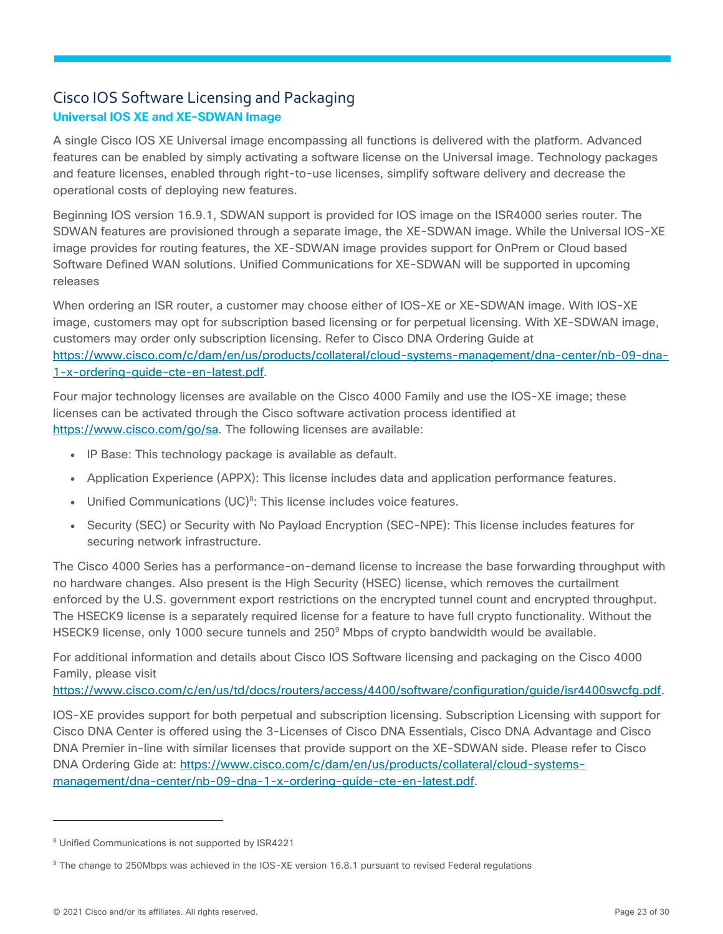## Cisco IOS Software Licensing and Packaging **Universal IOS XE and XE-SDWAN Image**

A single Cisco IOS XE Universal image encompassing all functions is delivered with the platform. Advanced features can be enabled by simply activating a software license on the Universal image. Technology packages and feature licenses, enabled through right-to-use licenses, simplify software delivery and decrease the operational costs of deploying new features.

Beginning IOS version 16.9.1, SDWAN support is provided for IOS image on the ISR4000 series router. The SDWAN features are provisioned through a separate image, the XE-SDWAN image. While the Universal IOS-XE image provides for routing features, the XE-SDWAN image provides support for OnPrem or Cloud based Software Defined WAN solutions. Unified Communications for XE-SDWAN will be supported in upcoming releases

When ordering an ISR router, a customer may choose either of IOS-XE or XE-SDWAN image. With IOS-XE image, customers may opt for subscription based licensing or for perpetual licensing. With XE-SDWAN image, customers may order only subscription licensing. Refer to Cisco DNA Ordering Guide at [https://www.cisco.com/c/dam/en/us/products/collateral/cloud-systems-management/dna-center/nb-09-dna-](https://www.cisco.com/c/dam/en/us/products/collateral/cloud-systems-management/dna-center/nb-09-dna-1-x-ordering-guide-cte-en-latest.pdf)[1-x-ordering-guide-cte-en-latest.pdf.](https://www.cisco.com/c/dam/en/us/products/collateral/cloud-systems-management/dna-center/nb-09-dna-1-x-ordering-guide-cte-en-latest.pdf)

Four major technology licenses are available on the Cisco 4000 Family and use the IOS-XE image; these licenses can be activated through the Cisco software activation process identified at [https://www.cisco.com/go/sa.](https://www.cisco.com/go/sa) The following licenses are available:

- IP Base: This technology package is available as default.
- Application Experience (APPX): This license includes data and application performance features.
- Unified Communications (UC)<sup>8</sup>: This license includes voice features.
- Security (SEC) or Security with No Payload Encryption (SEC-NPE): This license includes features for securing network infrastructure.

The Cisco 4000 Series has a performance-on-demand license to increase the base forwarding throughput with no hardware changes. Also present is the High Security (HSEC) license, which removes the curtailment enforced by the U.S. government export restrictions on the encrypted tunnel count and encrypted throughput. The HSECK9 license is a separately required license for a feature to have full crypto functionality. Without the HSECK9 license, only 1000 secure tunnels and 250<sup>9</sup> Mbps of crypto bandwidth would be available.

For additional information and details about Cisco IOS Software licensing and packaging on the Cisco 4000 Family, please visit

[https://www.cisco.com/c/en/us/td/docs/routers/access/4400/software/configuration/guide/isr4400swcfg.pdf.](https://cisco-router-switch-firewall.com/wp-content/uploads/2021/09/Cisco-4000-Series-ISRs-Software-Configuration-Guide.pdf)

IOS-XE provides support for both perpetual and subscription licensing. Subscription Licensing with support for Cisco DNA Center is offered using the 3-Licenses of Cisco DNA Essentials, Cisco DNA Advantage and Cisco DNA Premier in-line with similar licenses that provide support on the XE-SDWAN side. Please refer to Cisco DNA Ordering Gide at: [https://www.cisco.com/c/dam/en/us/products/collateral/cloud-systems](https://www.cisco.com/c/dam/en/us/products/collateral/cloud-systems-management/dna-center/nb-09-dna-1-x-ordering-guide-cte-en-latest.pdf)[management/dna-center/nb-09-dna-1-x-ordering-guide-cte-en-latest.pdf.](https://www.cisco.com/c/dam/en/us/products/collateral/cloud-systems-management/dna-center/nb-09-dna-1-x-ordering-guide-cte-en-latest.pdf)

<sup>8</sup> Unified Communications is not supported by ISR4221

<sup>&</sup>lt;sup>9</sup> The change to 250Mbps was achieved in the IOS-XE version 16.8.1 pursuant to revised Federal regulations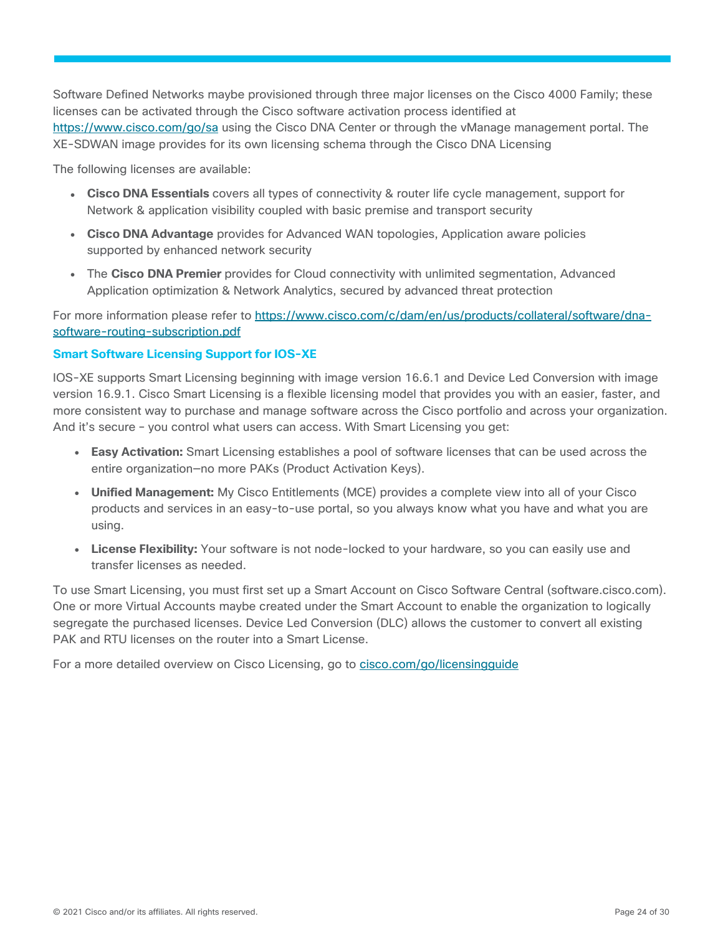Software Defined Networks maybe provisioned through three major licenses on the Cisco 4000 Family; these licenses can be activated through the Cisco software activation process identified at <https://www.cisco.com/go/sa> using the Cisco DNA Center or through the vManage management portal. The XE-SDWAN image provides for its own licensing schema through the Cisco DNA Licensing

The following licenses are available:

- **Cisco DNA Essentials** covers all types of connectivity & router life cycle management, support for Network & application visibility coupled with basic premise and transport security
- **Cisco DNA Advantage** provides for Advanced WAN topologies, Application aware policies supported by enhanced network security
- The **Cisco DNA Premier** provides for Cloud connectivity with unlimited segmentation, Advanced Application optimization & Network Analytics, secured by advanced threat protection

For more information please refer to [https://www.cisco.com/c/dam/en/us/products/collateral/software/dna](https://www.cisco.com/c/dam/en/us/products/collateral/software/dna-software-routing-subscription.pdf)[software-routing-subscription.pdf](https://www.cisco.com/c/dam/en/us/products/collateral/software/dna-software-routing-subscription.pdf)

#### <span id="page-23-0"></span>**Smart Software Licensing Support for IOS-XE**

IOS-XE supports Smart Licensing beginning with image version 16.6.1 and Device Led Conversion with image version 16.9.1. Cisco Smart Licensing is a flexible licensing model that provides you with an easier, faster, and more consistent way to purchase and manage software across the Cisco portfolio and across your organization. And it's secure – you control what users can access. With Smart Licensing you get:

- **Easy Activation:** Smart Licensing establishes a pool of software licenses that can be used across the entire organization—no more PAKs (Product Activation Keys).
- **Unified Management:** My Cisco Entitlements (MCE) provides a complete view into all of your Cisco products and services in an easy-to-use portal, so you always know what you have and what you are using.
- License Flexibility: Your software is not node-locked to your hardware, so you can easily use and transfer licenses as needed.

To use Smart Licensing, you must first set up a Smart Account on Cisco Software Central (software.cisco.com). One or more Virtual Accounts maybe created under the Smart Account to enable the organization to logically segregate the purchased licenses. Device Led Conversion (DLC) allows the customer to convert all existing PAK and RTU licenses on the router into a Smart License.

For a more detailed overview on Cisco Licensing, go to cisco.com/go/licensingquide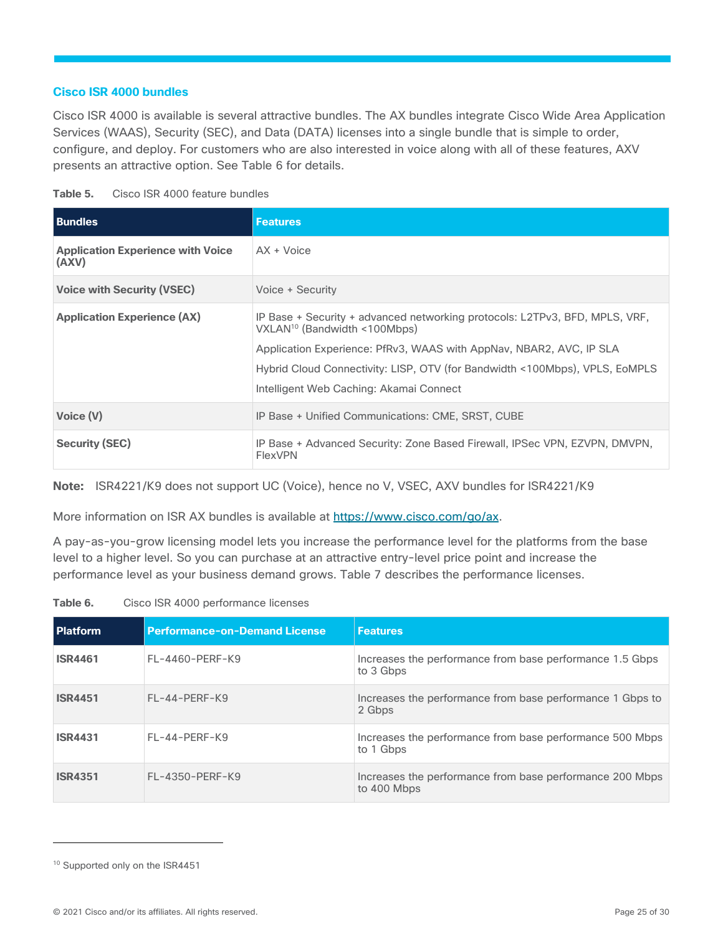#### **Cisco ISR 4000 bundles**

Cisco ISR 4000 is available is several attractive bundles. The AX bundles integrate Cisco Wide Area Application Services (WAAS), Security (SEC), and Data (DATA) licenses into a single bundle that is simple to order, configure, and deploy. For customers who are also interested in voice along with all of these features, AXV presents an attractive option. See Table 6 for details.

| Table 5. |  | Cisco ISR 4000 feature bundles |
|----------|--|--------------------------------|
|          |  |                                |

| <b>Bundles</b>                                    | <b>Features</b>                                                                                                                                                                                                                                                                                                          |
|---------------------------------------------------|--------------------------------------------------------------------------------------------------------------------------------------------------------------------------------------------------------------------------------------------------------------------------------------------------------------------------|
| <b>Application Experience with Voice</b><br>(AXV) | AX + Voice                                                                                                                                                                                                                                                                                                               |
| <b>Voice with Security (VSEC)</b>                 | Voice + Security                                                                                                                                                                                                                                                                                                         |
| <b>Application Experience (AX)</b>                | IP Base + Security + advanced networking protocols: L2TPv3, BFD, MPLS, VRF,<br>VXLAN <sup>10</sup> (Bandwidth <100Mbps)<br>Application Experience: PfRv3, WAAS with AppNav, NBAR2, AVC, IP SLA<br>Hybrid Cloud Connectivity: LISP, OTV (for Bandwidth <100Mbps), VPLS, EoMPLS<br>Intelligent Web Caching: Akamai Connect |
| Voice (V)                                         | IP Base + Unified Communications: CME, SRST, CUBE                                                                                                                                                                                                                                                                        |
| <b>Security (SEC)</b>                             | IP Base + Advanced Security: Zone Based Firewall, IPSec VPN, EZVPN, DMVPN,<br><b>FlexVPN</b>                                                                                                                                                                                                                             |

**Note:** ISR4221/K9 does not support UC (Voice), hence no V, VSEC, AXV bundles for ISR4221/K9

More information on ISR AX bundles is available at [https://www.cisco.com/go/ax.](https://www.cisco.com/go/ax)

A pay-as-you-grow licensing model lets you increase the performance level for the platforms from the base level to a higher level. So you can purchase at an attractive entry-level price point and increase the performance level as your business demand grows. Table 7 describes the performance licenses.

**Table 6.** Cisco ISR 4000 performance licenses

| <b>Platform</b> | <b>Performance-on-Demand License</b> | <b>Features</b>                                                         |
|-----------------|--------------------------------------|-------------------------------------------------------------------------|
| <b>ISR4461</b>  | FL-4460-PERF-K9                      | Increases the performance from base performance 1.5 Gbps<br>to 3 Gbps   |
| <b>ISR4451</b>  | $FL-44-PFRF-K9$                      | Increases the performance from base performance 1 Gbps to<br>2 Gbps     |
| <b>ISR4431</b>  | $FL-44-PERF-K9$                      | Increases the performance from base performance 500 Mbps<br>to 1 Gbps   |
| <b>ISR4351</b>  | FL-4350-PERF-K9                      | Increases the performance from base performance 200 Mbps<br>to 400 Mbps |

<sup>&</sup>lt;sup>10</sup> Supported only on the ISR4451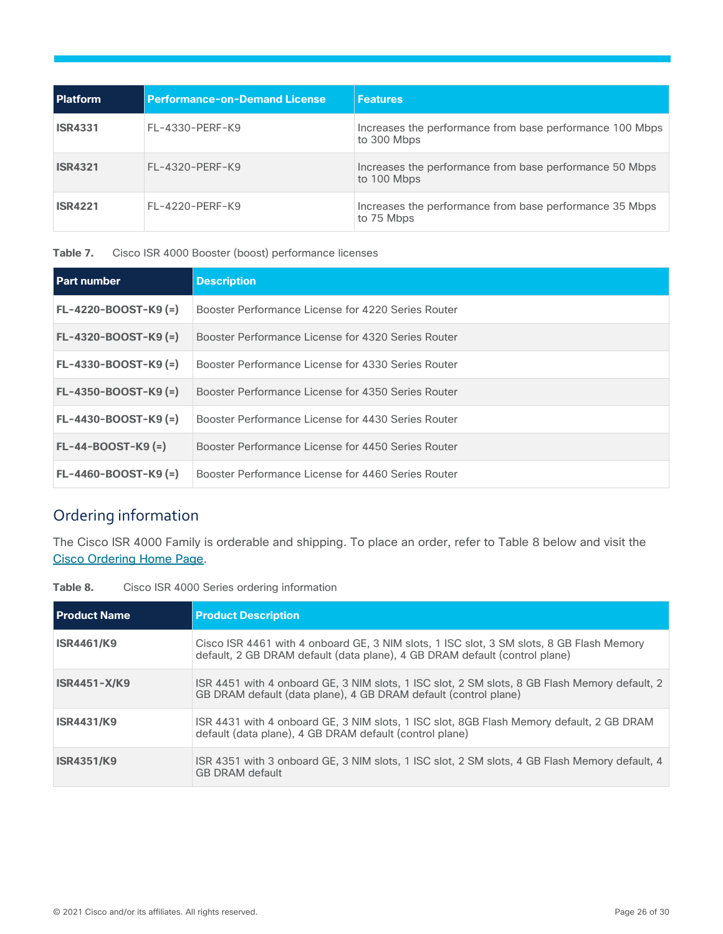| <b>Platform</b> | <b>Performance-on-Demand License</b> | <b>Features</b>                                                         |
|-----------------|--------------------------------------|-------------------------------------------------------------------------|
| <b>ISR4331</b>  | FL-4330-PERF-K9                      | Increases the performance from base performance 100 Mbps<br>to 300 Mbps |
| <b>ISR4321</b>  | FL-4320-PERF-K9                      | Increases the performance from base performance 50 Mbps<br>to 100 Mbps  |
| <b>ISR4221</b>  | FL-4220-PERF-K9                      | Increases the performance from base performance 35 Mbps<br>to 75 Mbps   |

**Table 7.** Cisco ISR 4000 Booster (boost) performance licenses

| <b>Part number</b>     | <b>Description</b>                                 |
|------------------------|----------------------------------------------------|
| $FL-4220-BOOST-K9 (=)$ | Booster Performance License for 4220 Series Router |
| $FL-4320-BOOST-K9 (=)$ | Booster Performance License for 4320 Series Router |
| $FL-4330-BOOST-K9 (=)$ | Booster Performance License for 4330 Series Router |
| $FL-4350-BOOST-K9 (=)$ | Booster Performance License for 4350 Series Router |
| $FL-4430-BOOST-K9 (=)$ | Booster Performance License for 4430 Series Router |
| $FL-44-BOOST-K9 (=)$   | Booster Performance License for 4450 Series Router |
| $FL-4460-BOOST-K9 (=)$ | Booster Performance License for 4460 Series Router |

## <span id="page-25-0"></span>Ordering information

The Cisco ISR 4000 Family is orderable and shipping. To place an order, refer to Table 8 below and visit the Cisco [Ordering Home Page.](https://www.cisco.com/web/ordering/or13/or8/o25/ordering_solutions_category_home.html)

| <b>Product Name</b> | <b>Product Description</b>                                                                                                                                             |
|---------------------|------------------------------------------------------------------------------------------------------------------------------------------------------------------------|
| <b>ISR4461/K9</b>   | Cisco ISR 4461 with 4 onboard GE, 3 NIM slots, 1 ISC slot, 3 SM slots, 8 GB Flash Memory<br>default, 2 GB DRAM default (data plane), 4 GB DRAM default (control plane) |
| $ISR4451-X/K9$      | ISR 4451 with 4 onboard GE, 3 NIM slots, 1 ISC slot, 2 SM slots, 8 GB Flash Memory default, 2<br>GB DRAM default (data plane), 4 GB DRAM default (control plane)       |
| <b>ISR4431/K9</b>   | ISR 4431 with 4 onboard GE, 3 NIM slots, 1 ISC slot, 8GB Flash Memory default, 2 GB DRAM<br>default (data plane), 4 GB DRAM default (control plane)                    |
| <b>ISR4351/K9</b>   | ISR 4351 with 3 onboard GE, 3 NIM slots, 1 ISC slot, 2 SM slots, 4 GB Flash Memory default, 4<br><b>GB DRAM default</b>                                                |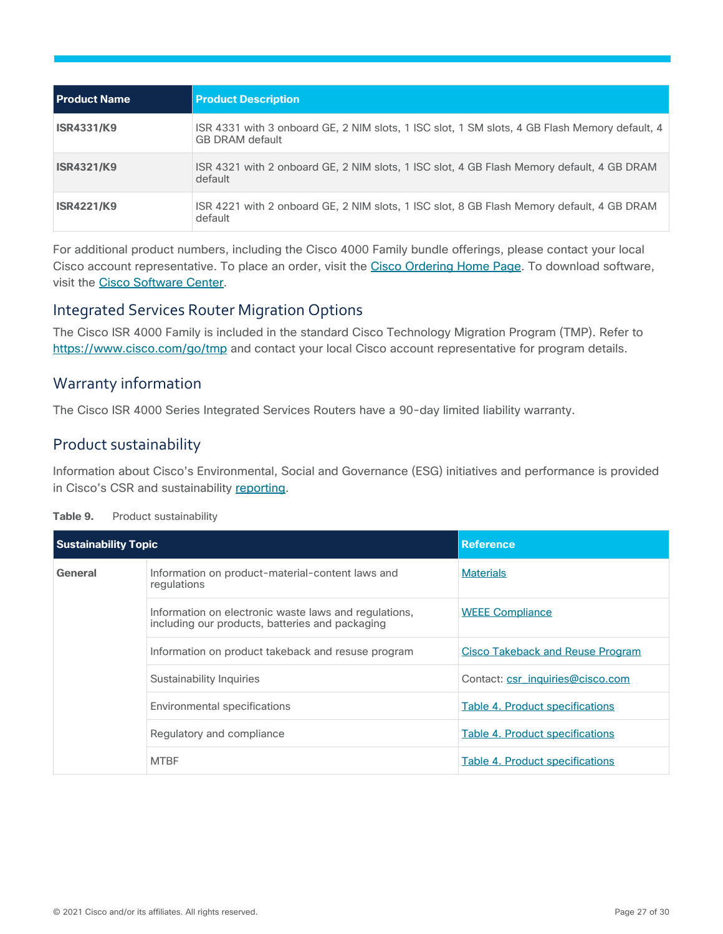| l Product Name    | <b>Product Description</b>                                                                                              |
|-------------------|-------------------------------------------------------------------------------------------------------------------------|
| <b>ISR4331/K9</b> | ISR 4331 with 3 onboard GE, 2 NIM slots, 1 ISC slot, 1 SM slots, 4 GB Flash Memory default, 4<br><b>GB DRAM default</b> |
| <b>ISR4321/K9</b> | ISR 4321 with 2 onboard GE, 2 NIM slots, 1 ISC slot, 4 GB Flash Memory default, 4 GB DRAM<br>default                    |
| <b>ISR4221/K9</b> | ISR 4221 with 2 onboard GE, 2 NIM slots, 1 ISC slot, 8 GB Flash Memory default, 4 GB DRAM<br>default                    |

For additional product numbers, including the Cisco 4000 Family bundle offerings, please contact your local Cisco account representative. To place an order, visit the [Cisco Ordering Home Page.](https://www.cisco.com/en/US/ordering/index.shtml) To download software, visit the [Cisco Software Center.](https://www.cisco.com/public/sw-center/index.shtml)

### Integrated Services Router Migration Options

The Cisco ISR 4000 Family is included in the standard Cisco Technology Migration Program (TMP). Refer to <https://www.cisco.com/go/tmp> and contact your local Cisco account representative for program details.

## <span id="page-26-0"></span>Warranty information

The Cisco ISR 4000 Series Integrated Services Routers have a 90-day limited liability warranty.

## <span id="page-26-1"></span>Product sustainability

Information about Cisco's Environmental, Social and Governance (ESG) initiatives and performance is provided in Cisco's CSR and sustainability [reporting.](https://www-1.compliance2product.com/c2p/getAttachment.do?code=YM6Y0yThdO6Wj1FxxYPYfUG2dtFkTeFWGpzLRO8tcURFEifUCRV403Tq2ZMWP6Ai)

| Table 9. |  | Product sustainability |
|----------|--|------------------------|
|----------|--|------------------------|

| <b>Sustainability Topic</b> |                                                                                                          | <b>Reference</b>                        |
|-----------------------------|----------------------------------------------------------------------------------------------------------|-----------------------------------------|
| General                     | Information on product-material-content laws and<br>regulations                                          | <b>Materials</b>                        |
|                             | Information on electronic waste laws and regulations,<br>including our products, batteries and packaging | <b>WEEE Compliance</b>                  |
|                             | Information on product takeback and resuse program                                                       | <b>Cisco Takeback and Reuse Program</b> |
|                             | Sustainability Inquiries                                                                                 | Contact: csr_inquiries@cisco.com        |
|                             | Environmental specifications                                                                             | Table 4. Product specifications         |
|                             | Regulatory and compliance                                                                                | <b>Table 4. Product specifications</b>  |
|                             | <b>MTBF</b>                                                                                              | Table 4. Product specifications         |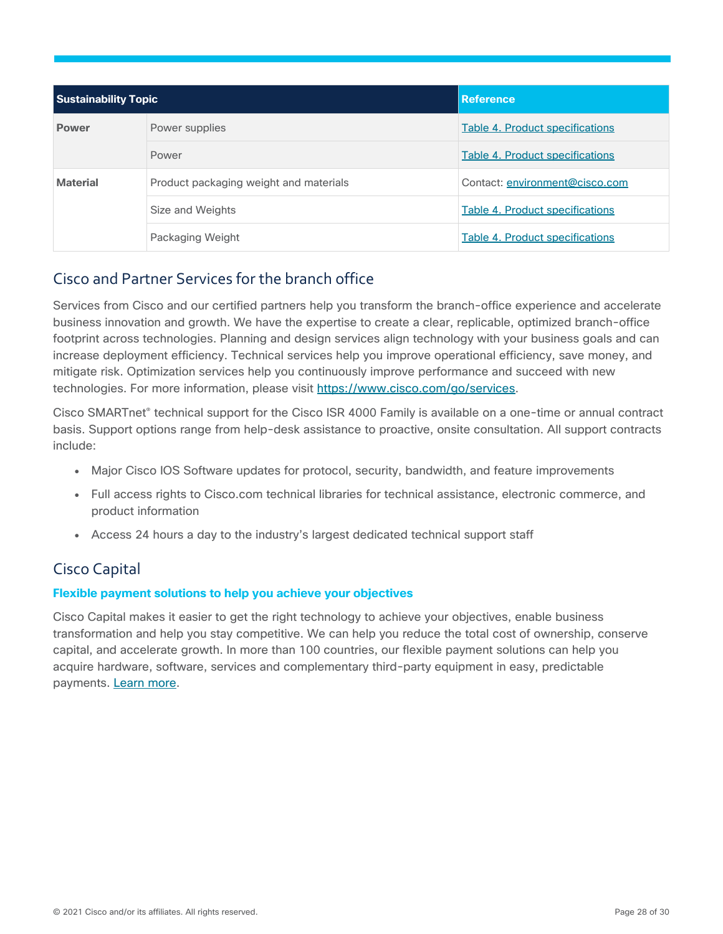| <b>Sustainability Topic</b> |                                        | <b>Reference</b>                       |
|-----------------------------|----------------------------------------|----------------------------------------|
| <b>Power</b>                | Power supplies                         | Table 4. Product specifications        |
|                             | Power                                  | <b>Table 4. Product specifications</b> |
| <b>Material</b>             | Product packaging weight and materials | Contact: environment@cisco.com         |
|                             | Size and Weights                       | Table 4. Product specifications        |
|                             | Packaging Weight                       | Table 4. Product specifications        |

## <span id="page-27-0"></span>Cisco and Partner Services for the branch office

Services from Cisco and our certified partners help you transform the branch-office experience and accelerate business innovation and growth. We have the expertise to create a clear, replicable, optimized branch-office footprint across technologies. Planning and design services align technology with your business goals and can increase deployment efficiency. Technical services help you improve operational efficiency, save money, and mitigate risk. Optimization services help you continuously improve performance and succeed with new technologies. For more information, please visit [https://www.cisco.com/go/services.](https://www.cisco.com/go/services)

Cisco SMARTnet® technical support for the Cisco ISR 4000 Family is available on a one-time or annual contract basis. Support options range from help-desk assistance to proactive, onsite consultation. All support contracts include:

- Major Cisco IOS Software updates for protocol, security, bandwidth, and feature improvements
- Full access rights to Cisco.com technical libraries for technical assistance, electronic commerce, and product information
- Access 24 hours a day to the industry's largest dedicated technical support staff

## <span id="page-27-1"></span>Cisco Capital

#### **Flexible payment solutions to help you achieve your objectives**

Cisco Capital makes it easier to get the right technology to achieve your objectives, enable business transformation and help you stay competitive. We can help you reduce the total cost of ownership, conserve capital, and accelerate growth. In more than 100 countries, our flexible payment solutions can help you acquire hardware, software, services and complementary third-party equipment in easy, predictable payments. [Learn more.](https://www.cisco.com/go/financing)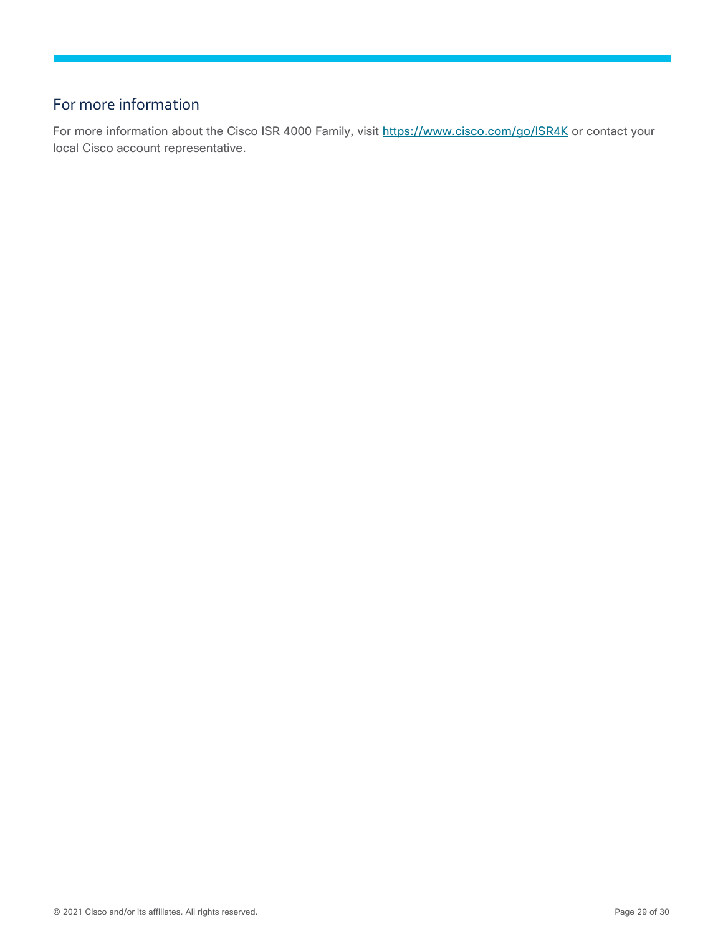## <span id="page-28-0"></span>For more information

For more information about the Cisco ISR 4000 Family, visit<https://www.cisco.com/go/ISR4K> or contact your local Cisco account representative.